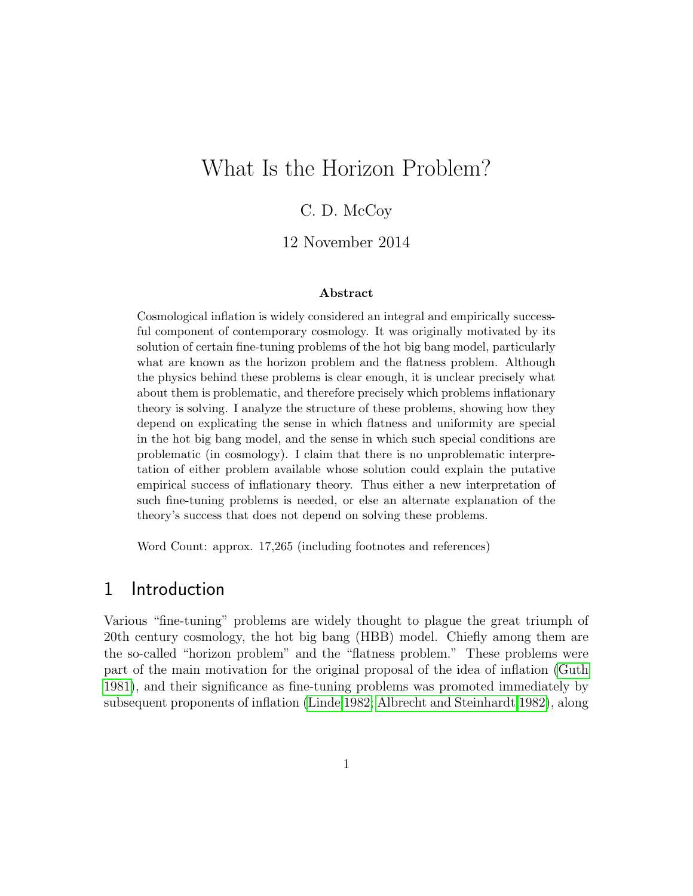# What Is the Horizon Problem?

### C. D. McCoy

#### 12 November 2014

#### Abstract

Cosmological inflation is widely considered an integral and empirically successful component of contemporary cosmology. It was originally motivated by its solution of certain fine-tuning problems of the hot big bang model, particularly what are known as the horizon problem and the flatness problem. Although the physics behind these problems is clear enough, it is unclear precisely what about them is problematic, and therefore precisely which problems inflationary theory is solving. I analyze the structure of these problems, showing how they depend on explicating the sense in which flatness and uniformity are special in the hot big bang model, and the sense in which such special conditions are problematic (in cosmology). I claim that there is no unproblematic interpretation of either problem available whose solution could explain the putative empirical success of inflationary theory. Thus either a new interpretation of such fine-tuning problems is needed, or else an alternate explanation of the theory's success that does not depend on solving these problems.

Word Count: approx. 17,265 (including footnotes and references)

#### 1 Introduction

Various "fine-tuning" problems are widely thought to plague the great triumph of 20th century cosmology, the hot big bang (HBB) model. Chiefly among them are the so-called "horizon problem" and the "flatness problem." These problems were part of the main motivation for the original proposal of the idea of inflation [\(Guth](#page-37-0) [1981\)](#page-37-0), and their significance as fine-tuning problems was promoted immediately by subsequent proponents of inflation [\(Linde 1982;](#page-38-0) [Albrecht and Steinhardt 1982\)](#page-35-0), along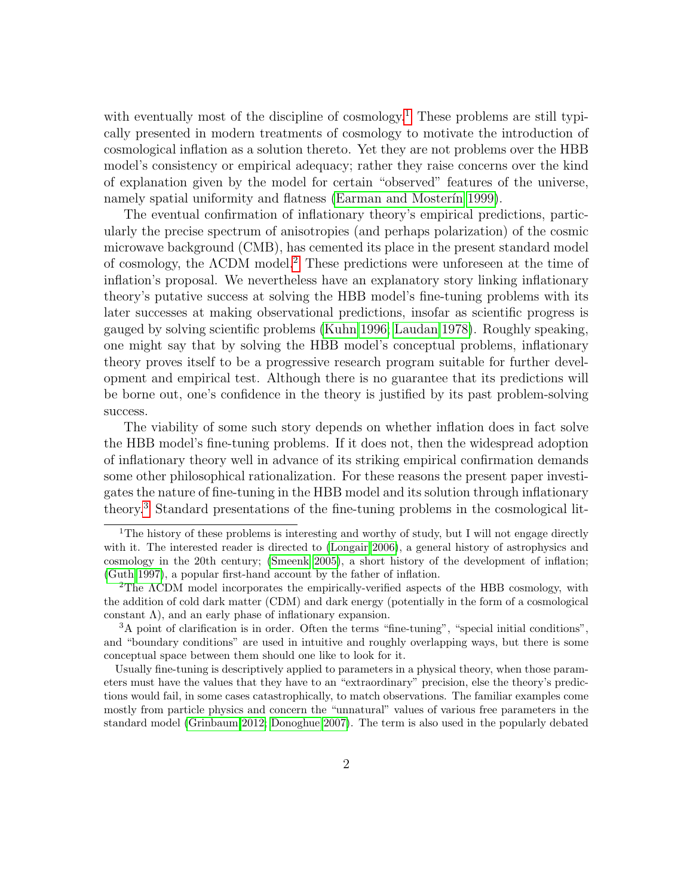with eventually most of the discipline of cosmology.<sup>[1](#page-1-0)</sup> These problems are still typically presented in modern treatments of cosmology to motivate the introduction of cosmological inflation as a solution thereto. Yet they are not problems over the HBB model's consistency or empirical adequacy; rather they raise concerns over the kind of explanation given by the model for certain "observed" features of the universe, namely spatial uniformity and flatness (Earman and Mosterin 1999).

The eventual confirmation of inflationary theory's empirical predictions, particularly the precise spectrum of anisotropies (and perhaps polarization) of the cosmic microwave background (CMB), has cemented its place in the present standard model of cosmology, the ΛCDM model.[2](#page-1-1) These predictions were unforeseen at the time of inflation's proposal. We nevertheless have an explanatory story linking inflationary theory's putative success at solving the HBB model's fine-tuning problems with its later successes at making observational predictions, insofar as scientific progress is gauged by solving scientific problems [\(Kuhn 1996;](#page-37-1) [Laudan 1978\)](#page-37-2). Roughly speaking, one might say that by solving the HBB model's conceptual problems, inflationary theory proves itself to be a progressive research program suitable for further development and empirical test. Although there is no guarantee that its predictions will be borne out, one's confidence in the theory is justified by its past problem-solving success.

The viability of some such story depends on whether inflation does in fact solve the HBB model's fine-tuning problems. If it does not, then the widespread adoption of inflationary theory well in advance of its striking empirical confirmation demands some other philosophical rationalization. For these reasons the present paper investigates the nature of fine-tuning in the HBB model and its solution through inflationary theory.[3](#page-1-2) Standard presentations of the fine-tuning problems in the cosmological lit-

<span id="page-1-0"></span><sup>&</sup>lt;sup>1</sup>The history of these problems is interesting and worthy of study, but I will not engage directly with it. The interested reader is directed to [\(Longair 2006\)](#page-38-1), a general history of astrophysics and cosmology in the 20th century; [\(Smeenk 2005\)](#page-39-0), a short history of the development of inflation; [\(Guth 1997\)](#page-37-3), a popular first-hand account by the father of inflation.

<span id="page-1-1"></span><sup>&</sup>lt;sup>2</sup>The ACDM model incorporates the empirically-verified aspects of the HBB cosmology, with the addition of cold dark matter (CDM) and dark energy (potentially in the form of a cosmological constant  $\Lambda$ ), and an early phase of inflationary expansion.

<span id="page-1-2"></span><sup>3</sup>A point of clarification is in order. Often the terms "fine-tuning", "special initial conditions", and "boundary conditions" are used in intuitive and roughly overlapping ways, but there is some conceptual space between them should one like to look for it.

Usually fine-tuning is descriptively applied to parameters in a physical theory, when those parameters must have the values that they have to an "extraordinary" precision, else the theory's predictions would fail, in some cases catastrophically, to match observations. The familiar examples come mostly from particle physics and concern the "unnatural" values of various free parameters in the standard model [\(Grinbaum 2012;](#page-37-4) [Donoghue 2007\)](#page-36-1). The term is also used in the popularly debated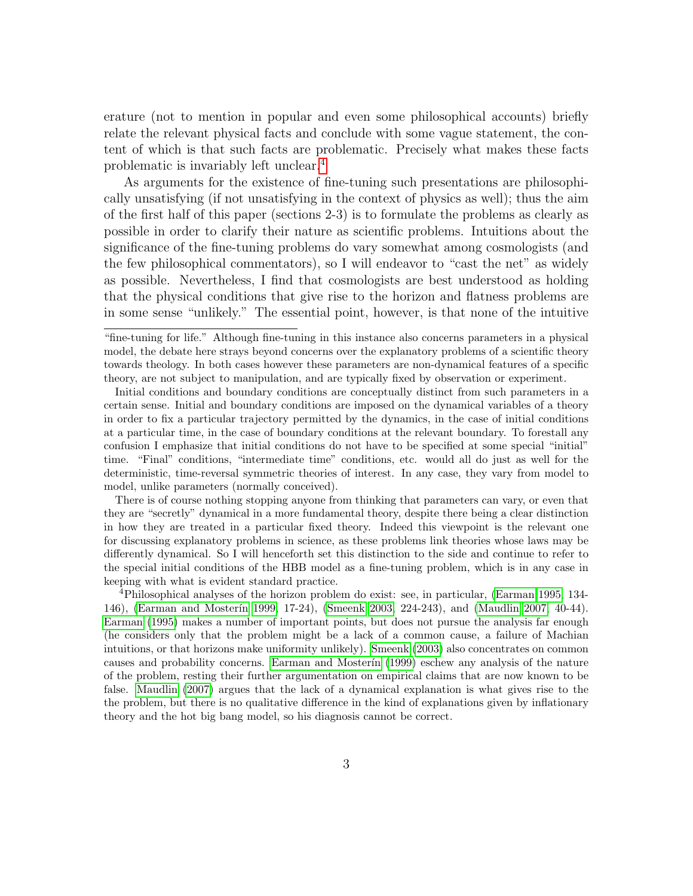erature (not to mention in popular and even some philosophical accounts) briefly relate the relevant physical facts and conclude with some vague statement, the content of which is that such facts are problematic. Precisely what makes these facts problematic is invariably left unclear.[4](#page-2-0)

As arguments for the existence of fine-tuning such presentations are philosophically unsatisfying (if not unsatisfying in the context of physics as well); thus the aim of the first half of this paper (sections 2-3) is to formulate the problems as clearly as possible in order to clarify their nature as scientific problems. Intuitions about the significance of the fine-tuning problems do vary somewhat among cosmologists (and the few philosophical commentators), so I will endeavor to "cast the net" as widely as possible. Nevertheless, I find that cosmologists are best understood as holding that the physical conditions that give rise to the horizon and flatness problems are in some sense "unlikely." The essential point, however, is that none of the intuitive

Initial conditions and boundary conditions are conceptually distinct from such parameters in a certain sense. Initial and boundary conditions are imposed on the dynamical variables of a theory in order to fix a particular trajectory permitted by the dynamics, in the case of initial conditions at a particular time, in the case of boundary conditions at the relevant boundary. To forestall any confusion I emphasize that initial conditions do not have to be specified at some special "initial" time. "Final" conditions, "intermediate time" conditions, etc. would all do just as well for the deterministic, time-reversal symmetric theories of interest. In any case, they vary from model to model, unlike parameters (normally conceived).

There is of course nothing stopping anyone from thinking that parameters can vary, or even that they are "secretly" dynamical in a more fundamental theory, despite there being a clear distinction in how they are treated in a particular fixed theory. Indeed this viewpoint is the relevant one for discussing explanatory problems in science, as these problems link theories whose laws may be differently dynamical. So I will henceforth set this distinction to the side and continue to refer to the special initial conditions of the HBB model as a fine-tuning problem, which is in any case in keeping with what is evident standard practice.

<span id="page-2-0"></span><sup>4</sup>Philosophical analyses of the horizon problem do exist: see, in particular, [\(Earman 1995,](#page-36-2) 134- 146), (Earman and Mosterín 1999, 17-24), [\(Smeenk 2003,](#page-39-1) 224-243), and [\(Maudlin 2007,](#page-38-2) 40-44). [Earman](#page-36-2) [\(1995\)](#page-36-2) makes a number of important points, but does not pursue the analysis far enough (he considers only that the problem might be a lack of a common cause, a failure of Machian intuitions, or that horizons make uniformity unlikely). [Smeenk](#page-39-1) [\(2003\)](#page-39-1) also concentrates on common causes and probability concerns. Earman and Mosterin [\(1999\)](#page-36-0) eschew any analysis of the nature of the problem, resting their further argumentation on empirical claims that are now known to be false. [Maudlin](#page-38-2) [\(2007\)](#page-38-2) argues that the lack of a dynamical explanation is what gives rise to the the problem, but there is no qualitative difference in the kind of explanations given by inflationary theory and the hot big bang model, so his diagnosis cannot be correct.

<sup>&</sup>quot;fine-tuning for life." Although fine-tuning in this instance also concerns parameters in a physical model, the debate here strays beyond concerns over the explanatory problems of a scientific theory towards theology. In both cases however these parameters are non-dynamical features of a specific theory, are not subject to manipulation, and are typically fixed by observation or experiment.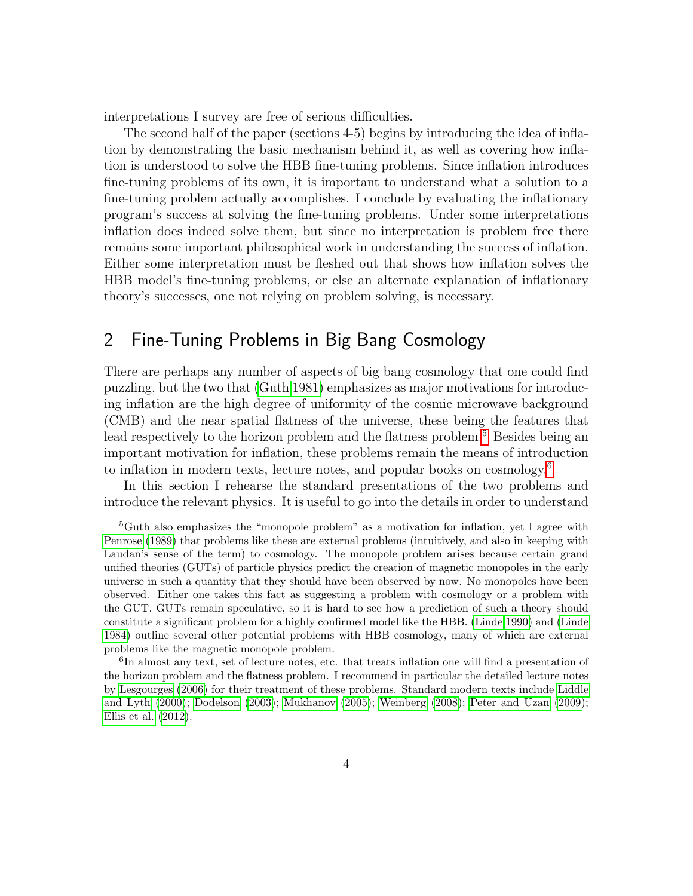interpretations I survey are free of serious difficulties.

The second half of the paper (sections 4-5) begins by introducing the idea of inflation by demonstrating the basic mechanism behind it, as well as covering how inflation is understood to solve the HBB fine-tuning problems. Since inflation introduces fine-tuning problems of its own, it is important to understand what a solution to a fine-tuning problem actually accomplishes. I conclude by evaluating the inflationary program's success at solving the fine-tuning problems. Under some interpretations inflation does indeed solve them, but since no interpretation is problem free there remains some important philosophical work in understanding the success of inflation. Either some interpretation must be fleshed out that shows how inflation solves the HBB model's fine-tuning problems, or else an alternate explanation of inflationary theory's successes, one not relying on problem solving, is necessary.

## 2 Fine-Tuning Problems in Big Bang Cosmology

There are perhaps any number of aspects of big bang cosmology that one could find puzzling, but the two that [\(Guth 1981\)](#page-37-0) emphasizes as major motivations for introducing inflation are the high degree of uniformity of the cosmic microwave background (CMB) and the near spatial flatness of the universe, these being the features that lead respectively to the horizon problem and the flatness problem.<sup>[5](#page-3-0)</sup> Besides being an important motivation for inflation, these problems remain the means of introduction to inflation in modern texts, lecture notes, and popular books on cosmology.<sup>[6](#page-3-1)</sup>

In this section I rehearse the standard presentations of the two problems and introduce the relevant physics. It is useful to go into the details in order to understand

<span id="page-3-0"></span><sup>&</sup>lt;sup>5</sup>Guth also emphasizes the "monopole problem" as a motivation for inflation, yet I agree with [Penrose](#page-38-3) [\(1989\)](#page-38-3) that problems like these are external problems (intuitively, and also in keeping with Laudan's sense of the term) to cosmology. The monopole problem arises because certain grand unified theories (GUTs) of particle physics predict the creation of magnetic monopoles in the early universe in such a quantity that they should have been observed by now. No monopoles have been observed. Either one takes this fact as suggesting a problem with cosmology or a problem with the GUT. GUTs remain speculative, so it is hard to see how a prediction of such a theory should constitute a significant problem for a highly confirmed model like the HBB. [\(Linde 1990\)](#page-38-4) and [\(Linde](#page-38-5) [1984\)](#page-38-5) outline several other potential problems with HBB cosmology, many of which are external problems like the magnetic monopole problem.

<span id="page-3-1"></span><sup>&</sup>lt;sup>6</sup>In almost any text, set of lecture notes, etc. that treats inflation one will find a presentation of the horizon problem and the flatness problem. I recommend in particular the detailed lecture notes by [Lesgourges](#page-37-5) [\(2006\)](#page-37-5) for their treatment of these problems. Standard modern texts include [Liddle](#page-37-6) [and Lyth](#page-37-6) [\(2000\)](#page-37-6); [Dodelson](#page-36-3) [\(2003\)](#page-36-3); [Mukhanov](#page-38-6) [\(2005\)](#page-38-6); [Weinberg](#page-40-0) [\(2008\)](#page-40-0); [Peter and Uzan](#page-38-7) [\(2009\)](#page-38-7); [Ellis et al.](#page-36-4) [\(2012\)](#page-36-4).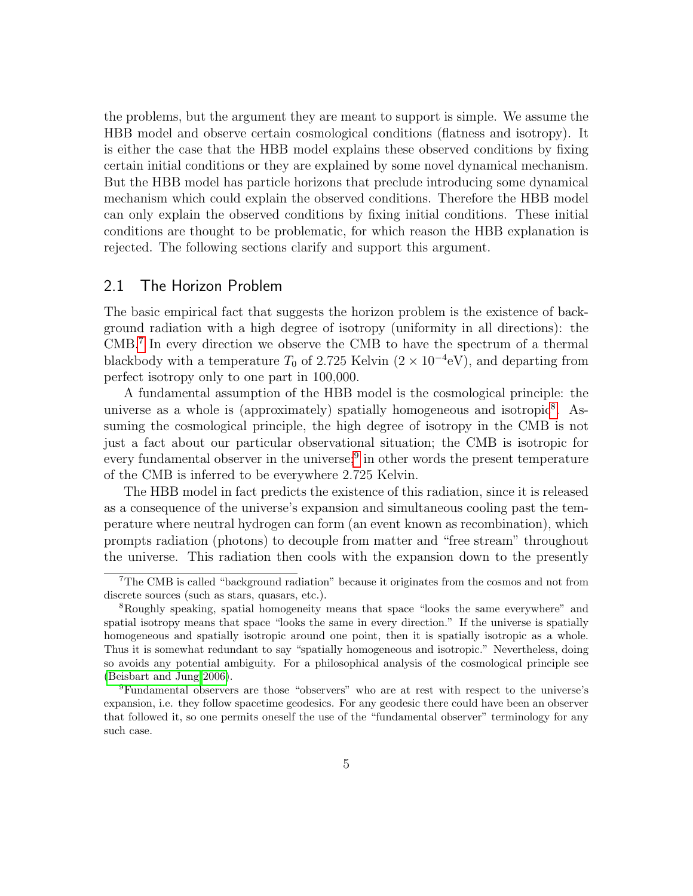the problems, but the argument they are meant to support is simple. We assume the HBB model and observe certain cosmological conditions (flatness and isotropy). It is either the case that the HBB model explains these observed conditions by fixing certain initial conditions or they are explained by some novel dynamical mechanism. But the HBB model has particle horizons that preclude introducing some dynamical mechanism which could explain the observed conditions. Therefore the HBB model can only explain the observed conditions by fixing initial conditions. These initial conditions are thought to be problematic, for which reason the HBB explanation is rejected. The following sections clarify and support this argument.

#### 2.1 The Horizon Problem

The basic empirical fact that suggests the horizon problem is the existence of background radiation with a high degree of isotropy (uniformity in all directions): the CMB.[7](#page-4-0) In every direction we observe the CMB to have the spectrum of a thermal blackbody with a temperature  $T_0$  of 2.725 Kelvin  $(2 \times 10^{-4} \text{eV})$ , and departing from perfect isotropy only to one part in 100,000.

A fundamental assumption of the HBB model is the cosmological principle: the universe as a whole is (approximately) spatially homogeneous and isotropic<sup>[8](#page-4-1)</sup>. Assuming the cosmological principle, the high degree of isotropy in the CMB is not just a fact about our particular observational situation; the CMB is isotropic for every fundamental observer in the universe;<sup>[9](#page-4-2)</sup> in other words the present temperature of the CMB is inferred to be everywhere 2.725 Kelvin.

The HBB model in fact predicts the existence of this radiation, since it is released as a consequence of the universe's expansion and simultaneous cooling past the temperature where neutral hydrogen can form (an event known as recombination), which prompts radiation (photons) to decouple from matter and "free stream" throughout the universe. This radiation then cools with the expansion down to the presently

<span id="page-4-0"></span><sup>7</sup>The CMB is called "background radiation" because it originates from the cosmos and not from discrete sources (such as stars, quasars, etc.).

<span id="page-4-1"></span><sup>8</sup>Roughly speaking, spatial homogeneity means that space "looks the same everywhere" and spatial isotropy means that space "looks the same in every direction." If the universe is spatially homogeneous and spatially isotropic around one point, then it is spatially isotropic as a whole. Thus it is somewhat redundant to say "spatially homogeneous and isotropic." Nevertheless, doing so avoids any potential ambiguity. For a philosophical analysis of the cosmological principle see [\(Beisbart and Jung 2006\)](#page-35-1).

<span id="page-4-2"></span><sup>9</sup>Fundamental observers are those "observers" who are at rest with respect to the universe's expansion, i.e. they follow spacetime geodesics. For any geodesic there could have been an observer that followed it, so one permits oneself the use of the "fundamental observer" terminology for any such case.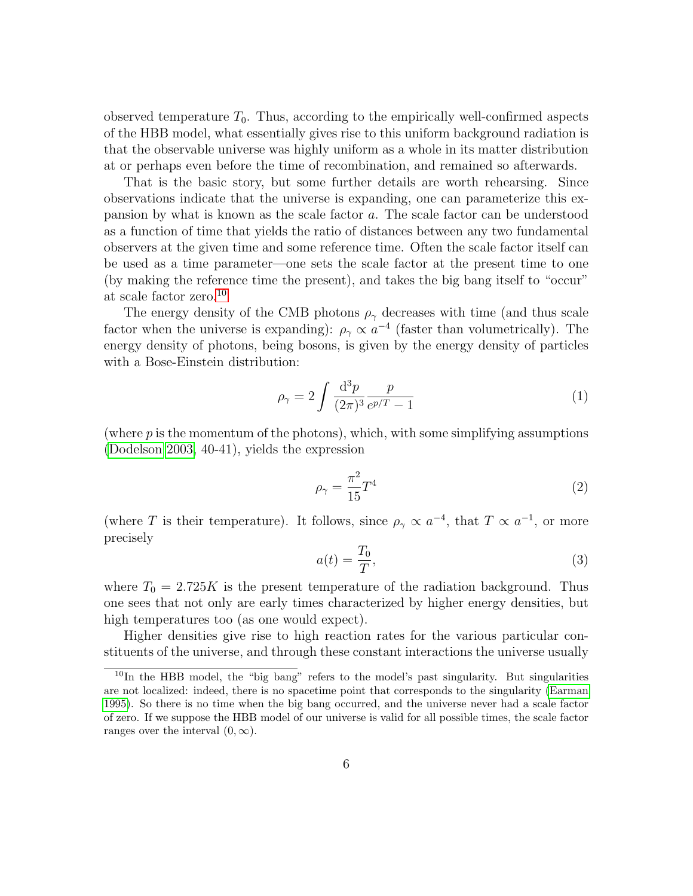observed temperature  $T_0$ . Thus, according to the empirically well-confirmed aspects of the HBB model, what essentially gives rise to this uniform background radiation is that the observable universe was highly uniform as a whole in its matter distribution at or perhaps even before the time of recombination, and remained so afterwards.

That is the basic story, but some further details are worth rehearsing. Since observations indicate that the universe is expanding, one can parameterize this expansion by what is known as the scale factor a. The scale factor can be understood as a function of time that yields the ratio of distances between any two fundamental observers at the given time and some reference time. Often the scale factor itself can be used as a time parameter—one sets the scale factor at the present time to one (by making the reference time the present), and takes the big bang itself to "occur" at scale factor zero.[10](#page-5-0)

The energy density of the CMB photons  $\rho_{\gamma}$  decreases with time (and thus scale factor when the universe is expanding):  $\rho_{\gamma} \propto a^{-4}$  (faster than volumetrically). The energy density of photons, being bosons, is given by the energy density of particles with a Bose-Einstein distribution:

$$
\rho_{\gamma} = 2 \int \frac{\mathrm{d}^3 p}{(2\pi)^3} \frac{p}{e^{p/T} - 1} \tag{1}
$$

(where p is the momentum of the photons), which, with some simplifying assumptions [\(Dodelson 2003,](#page-36-3) 40-41), yields the expression

$$
\rho_{\gamma} = \frac{\pi^2}{15} T^4 \tag{2}
$$

(where T is their temperature). It follows, since  $\rho_{\gamma} \propto a^{-4}$ , that  $T \propto a^{-1}$ , or more precisely

$$
a(t) = \frac{T_0}{T},\tag{3}
$$

where  $T_0 = 2.725K$  is the present temperature of the radiation background. Thus one sees that not only are early times characterized by higher energy densities, but high temperatures too (as one would expect).

Higher densities give rise to high reaction rates for the various particular constituents of the universe, and through these constant interactions the universe usually

<span id="page-5-0"></span><sup>&</sup>lt;sup>10</sup>In the HBB model, the "big bang" refers to the model's past singularity. But singularities are not localized: indeed, there is no spacetime point that corresponds to the singularity [\(Earman](#page-36-2) [1995\)](#page-36-2). So there is no time when the big bang occurred, and the universe never had a scale factor of zero. If we suppose the HBB model of our universe is valid for all possible times, the scale factor ranges over the interval  $(0, \infty)$ .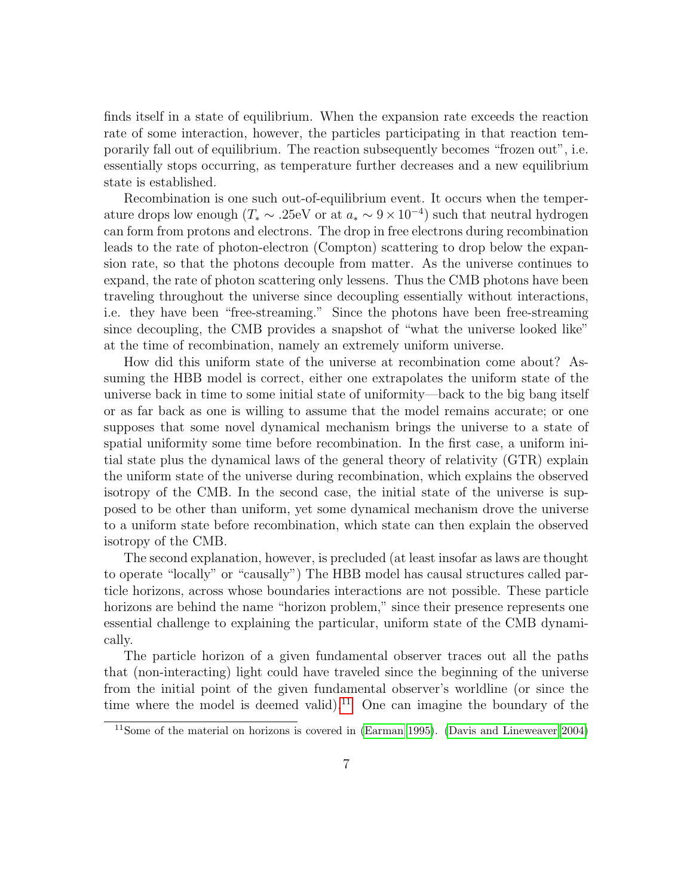finds itself in a state of equilibrium. When the expansion rate exceeds the reaction rate of some interaction, however, the particles participating in that reaction temporarily fall out of equilibrium. The reaction subsequently becomes "frozen out", i.e. essentially stops occurring, as temperature further decreases and a new equilibrium state is established.

Recombination is one such out-of-equilibrium event. It occurs when the temperature drops low enough  $(T_* \sim .25$ eV or at  $a_* \sim 9 \times 10^{-4}$ ) such that neutral hydrogen can form from protons and electrons. The drop in free electrons during recombination leads to the rate of photon-electron (Compton) scattering to drop below the expansion rate, so that the photons decouple from matter. As the universe continues to expand, the rate of photon scattering only lessens. Thus the CMB photons have been traveling throughout the universe since decoupling essentially without interactions, i.e. they have been "free-streaming." Since the photons have been free-streaming since decoupling, the CMB provides a snapshot of "what the universe looked like" at the time of recombination, namely an extremely uniform universe.

How did this uniform state of the universe at recombination come about? Assuming the HBB model is correct, either one extrapolates the uniform state of the universe back in time to some initial state of uniformity—back to the big bang itself or as far back as one is willing to assume that the model remains accurate; or one supposes that some novel dynamical mechanism brings the universe to a state of spatial uniformity some time before recombination. In the first case, a uniform initial state plus the dynamical laws of the general theory of relativity (GTR) explain the uniform state of the universe during recombination, which explains the observed isotropy of the CMB. In the second case, the initial state of the universe is supposed to be other than uniform, yet some dynamical mechanism drove the universe to a uniform state before recombination, which state can then explain the observed isotropy of the CMB.

The second explanation, however, is precluded (at least insofar as laws are thought to operate "locally" or "causally") The HBB model has causal structures called particle horizons, across whose boundaries interactions are not possible. These particle horizons are behind the name "horizon problem," since their presence represents one essential challenge to explaining the particular, uniform state of the CMB dynamically.

The particle horizon of a given fundamental observer traces out all the paths that (non-interacting) light could have traveled since the beginning of the universe from the initial point of the given fundamental observer's worldline (or since the time where the model is deemed valid).<sup>[11](#page-6-0)</sup> One can imagine the boundary of the

<span id="page-6-0"></span><sup>11</sup>Some of the material on horizons is covered in [\(Earman 1995\)](#page-36-2). [\(Davis and Lineweaver 2004\)](#page-35-2)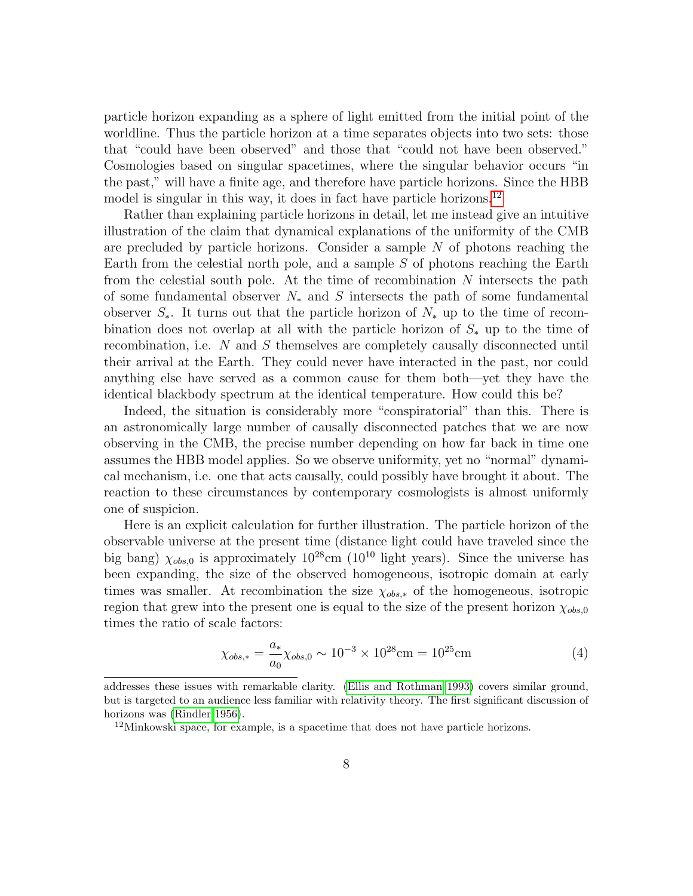particle horizon expanding as a sphere of light emitted from the initial point of the worldline. Thus the particle horizon at a time separates objects into two sets: those that "could have been observed" and those that "could not have been observed." Cosmologies based on singular spacetimes, where the singular behavior occurs "in the past," will have a finite age, and therefore have particle horizons. Since the HBB model is singular in this way, it does in fact have particle horizons.<sup>[12](#page-7-0)</sup>

Rather than explaining particle horizons in detail, let me instead give an intuitive illustration of the claim that dynamical explanations of the uniformity of the CMB are precluded by particle horizons. Consider a sample  $N$  of photons reaching the Earth from the celestial north pole, and a sample  $S$  of photons reaching the Earth from the celestial south pole. At the time of recombination  $N$  intersects the path of some fundamental observer  $N_*$  and S intersects the path of some fundamental observer  $S_{\ast}$ . It turns out that the particle horizon of  $N_{\ast}$  up to the time of recombination does not overlap at all with the particle horizon of  $S_*$  up to the time of recombination, i.e. N and S themselves are completely causally disconnected until their arrival at the Earth. They could never have interacted in the past, nor could anything else have served as a common cause for them both—yet they have the identical blackbody spectrum at the identical temperature. How could this be?

Indeed, the situation is considerably more "conspiratorial" than this. There is an astronomically large number of causally disconnected patches that we are now observing in the CMB, the precise number depending on how far back in time one assumes the HBB model applies. So we observe uniformity, yet no "normal" dynamical mechanism, i.e. one that acts causally, could possibly have brought it about. The reaction to these circumstances by contemporary cosmologists is almost uniformly one of suspicion.

Here is an explicit calculation for further illustration. The particle horizon of the observable universe at the present time (distance light could have traveled since the big bang)  $\chi_{obs,0}$  is approximately  $10^{28}$ cm ( $10^{10}$  light years). Since the universe has been expanding, the size of the observed homogeneous, isotropic domain at early times was smaller. At recombination the size  $\chi_{obs,*}$  of the homogeneous, isotropic region that grew into the present one is equal to the size of the present horizon  $\chi_{obs,0}$ times the ratio of scale factors:

$$
\chi_{obs,*} = \frac{a_*}{a_0} \chi_{obs,0} \sim 10^{-3} \times 10^{28} \text{cm} = 10^{25} \text{cm}
$$
 (4)

addresses these issues with remarkable clarity. [\(Ellis and Rothman 1993\)](#page-36-5) covers similar ground, but is targeted to an audience less familiar with relativity theory. The first significant discussion of horizons was [\(Rindler 1956\)](#page-39-2).

<span id="page-7-0"></span><sup>&</sup>lt;sup>12</sup>Minkowski space, for example, is a spacetime that does not have particle horizons.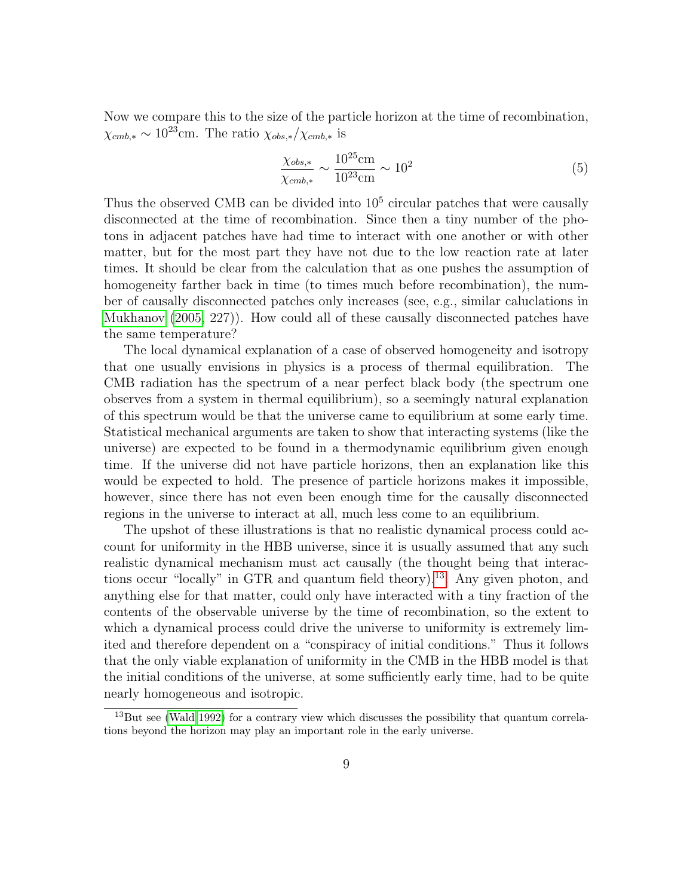Now we compare this to the size of the particle horizon at the time of recombination,  $\chi_{cmb,*} \sim 10^{23}$ cm. The ratio  $\chi_{obs,*}/\chi_{cmb,*}$  is

$$
\frac{\chi_{obs,*}}{\chi_{cmb,*}} \sim \frac{10^{25} \text{cm}}{10^{23} \text{cm}} \sim 10^2
$$
 (5)

Thus the observed CMB can be divided into  $10<sup>5</sup>$  circular patches that were causally disconnected at the time of recombination. Since then a tiny number of the photons in adjacent patches have had time to interact with one another or with other matter, but for the most part they have not due to the low reaction rate at later times. It should be clear from the calculation that as one pushes the assumption of homogeneity farther back in time (to times much before recombination), the number of causally disconnected patches only increases (see, e.g., similar caluclations in [Mukhanov](#page-38-6) [\(2005,](#page-38-6) 227)). How could all of these causally disconnected patches have the same temperature?

The local dynamical explanation of a case of observed homogeneity and isotropy that one usually envisions in physics is a process of thermal equilibration. The CMB radiation has the spectrum of a near perfect black body (the spectrum one observes from a system in thermal equilibrium), so a seemingly natural explanation of this spectrum would be that the universe came to equilibrium at some early time. Statistical mechanical arguments are taken to show that interacting systems (like the universe) are expected to be found in a thermodynamic equilibrium given enough time. If the universe did not have particle horizons, then an explanation like this would be expected to hold. The presence of particle horizons makes it impossible, however, since there has not even been enough time for the causally disconnected regions in the universe to interact at all, much less come to an equilibrium.

The upshot of these illustrations is that no realistic dynamical process could account for uniformity in the HBB universe, since it is usually assumed that any such realistic dynamical mechanism must act causally (the thought being that interactions occur "locally" in GTR and quantum field theory).[13](#page-8-0). Any given photon, and anything else for that matter, could only have interacted with a tiny fraction of the contents of the observable universe by the time of recombination, so the extent to which a dynamical process could drive the universe to uniformity is extremely limited and therefore dependent on a "conspiracy of initial conditions." Thus it follows that the only viable explanation of uniformity in the CMB in the HBB model is that the initial conditions of the universe, at some sufficiently early time, had to be quite nearly homogeneous and isotropic.

<span id="page-8-0"></span> $13$ But see [\(Wald 1992\)](#page-40-1) for a contrary view which discusses the possibility that quantum correlations beyond the horizon may play an important role in the early universe.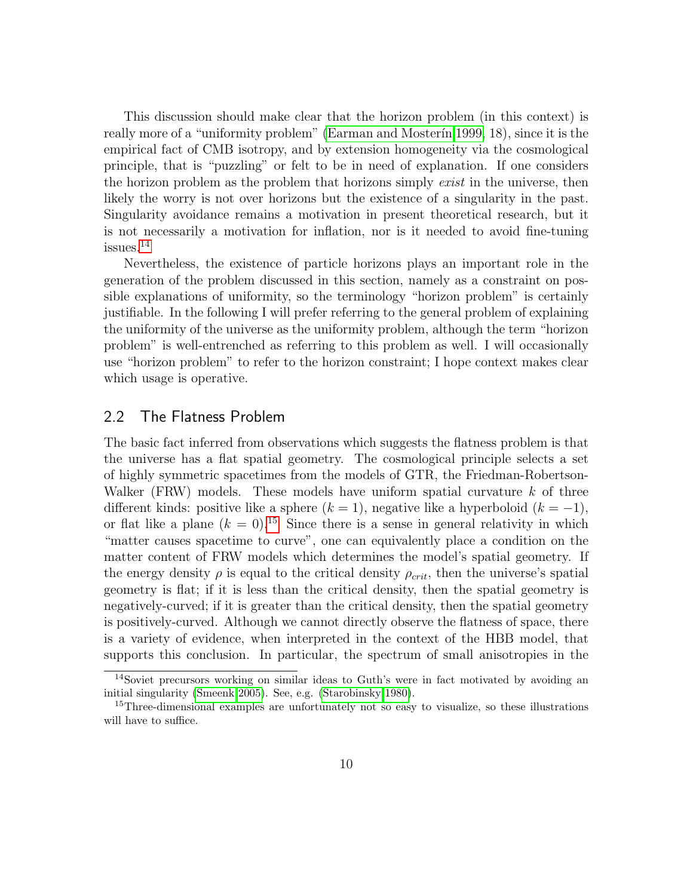This discussion should make clear that the horizon problem (in this context) is really more of a "uniformity problem" (Earman and Moster in 1999, 18), since it is the empirical fact of CMB isotropy, and by extension homogeneity via the cosmological principle, that is "puzzling" or felt to be in need of explanation. If one considers the horizon problem as the problem that horizons simply *exist* in the universe, then likely the worry is not over horizons but the existence of a singularity in the past. Singularity avoidance remains a motivation in present theoretical research, but it is not necessarily a motivation for inflation, nor is it needed to avoid fine-tuning issues.[14](#page-9-0)

Nevertheless, the existence of particle horizons plays an important role in the generation of the problem discussed in this section, namely as a constraint on possible explanations of uniformity, so the terminology "horizon problem" is certainly justifiable. In the following I will prefer referring to the general problem of explaining the uniformity of the universe as the uniformity problem, although the term "horizon problem" is well-entrenched as referring to this problem as well. I will occasionally use "horizon problem" to refer to the horizon constraint; I hope context makes clear which usage is operative.

#### 2.2 The Flatness Problem

The basic fact inferred from observations which suggests the flatness problem is that the universe has a flat spatial geometry. The cosmological principle selects a set of highly symmetric spacetimes from the models of GTR, the Friedman-Robertson-Walker (FRW) models. These models have uniform spatial curvature  $k$  of three different kinds: positive like a sphere  $(k = 1)$ , negative like a hyperboloid  $(k = -1)$ , or flat like a plane  $(k = 0)$ .<sup>[15](#page-9-1)</sup> Since there is a sense in general relativity in which "matter causes spacetime to curve", one can equivalently place a condition on the matter content of FRW models which determines the model's spatial geometry. If the energy density  $\rho$  is equal to the critical density  $\rho_{crit}$ , then the universe's spatial geometry is flat; if it is less than the critical density, then the spatial geometry is negatively-curved; if it is greater than the critical density, then the spatial geometry is positively-curved. Although we cannot directly observe the flatness of space, there is a variety of evidence, when interpreted in the context of the HBB model, that supports this conclusion. In particular, the spectrum of small anisotropies in the

<span id="page-9-0"></span><sup>14</sup>Soviet precursors working on similar ideas to Guth's were in fact motivated by avoiding an initial singularity [\(Smeenk 2005\)](#page-39-0). See, e.g. [\(Starobinsky 1980\)](#page-39-3).

<span id="page-9-1"></span><sup>&</sup>lt;sup>15</sup>Three-dimensional examples are unfortunately not so easy to visualize, so these illustrations will have to suffice.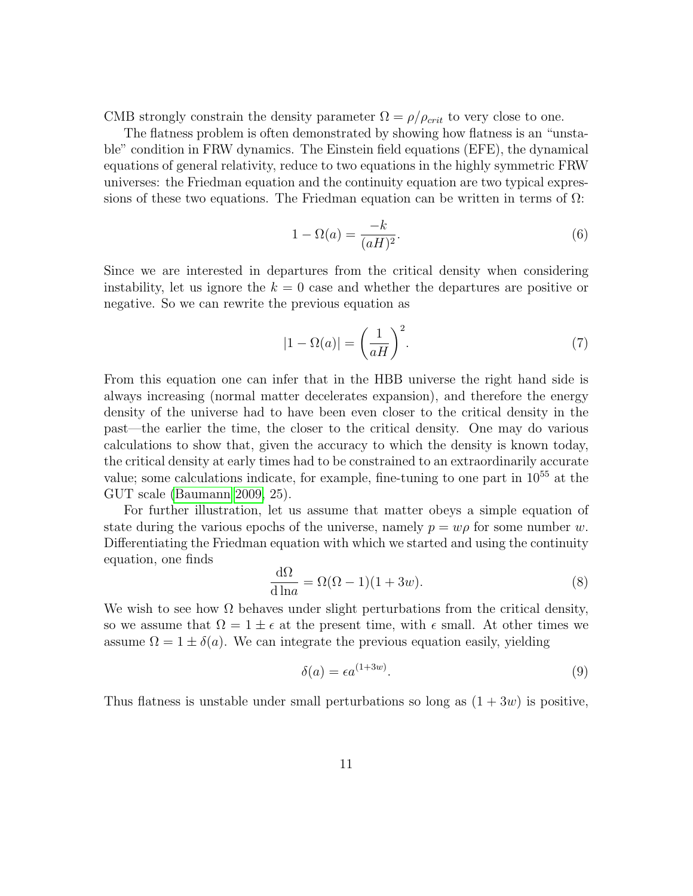CMB strongly constrain the density parameter  $\Omega = \rho / \rho_{crit}$  to very close to one.

The flatness problem is often demonstrated by showing how flatness is an "unstable" condition in FRW dynamics. The Einstein field equations (EFE), the dynamical equations of general relativity, reduce to two equations in the highly symmetric FRW universes: the Friedman equation and the continuity equation are two typical expressions of these two equations. The Friedman equation can be written in terms of  $\Omega$ :

$$
1 - \Omega(a) = \frac{-k}{(aH)^2}.\tag{6}
$$

Since we are interested in departures from the critical density when considering instability, let us ignore the  $k = 0$  case and whether the departures are positive or negative. So we can rewrite the previous equation as

$$
|1 - \Omega(a)| = \left(\frac{1}{aH}\right)^2.
$$
 (7)

From this equation one can infer that in the HBB universe the right hand side is always increasing (normal matter decelerates expansion), and therefore the energy density of the universe had to have been even closer to the critical density in the past—the earlier the time, the closer to the critical density. One may do various calculations to show that, given the accuracy to which the density is known today, the critical density at early times had to be constrained to an extraordinarily accurate value; some calculations indicate, for example, fine-tuning to one part in 10<sup>55</sup> at the GUT scale [\(Baumann 2009,](#page-35-3) 25).

For further illustration, let us assume that matter obeys a simple equation of state during the various epochs of the universe, namely  $p = w\rho$  for some number w. Differentiating the Friedman equation with which we started and using the continuity equation, one finds

$$
\frac{d\Omega}{d \ln a} = \Omega(\Omega - 1)(1 + 3w). \tag{8}
$$

We wish to see how  $\Omega$  behaves under slight perturbations from the critical density, so we assume that  $\Omega = 1 \pm \epsilon$  at the present time, with  $\epsilon$  small. At other times we assume  $\Omega = 1 \pm \delta(a)$ . We can integrate the previous equation easily, yielding

$$
\delta(a) = \epsilon a^{(1+3w)}.\tag{9}
$$

Thus flatness is unstable under small perturbations so long as  $(1 + 3w)$  is positive,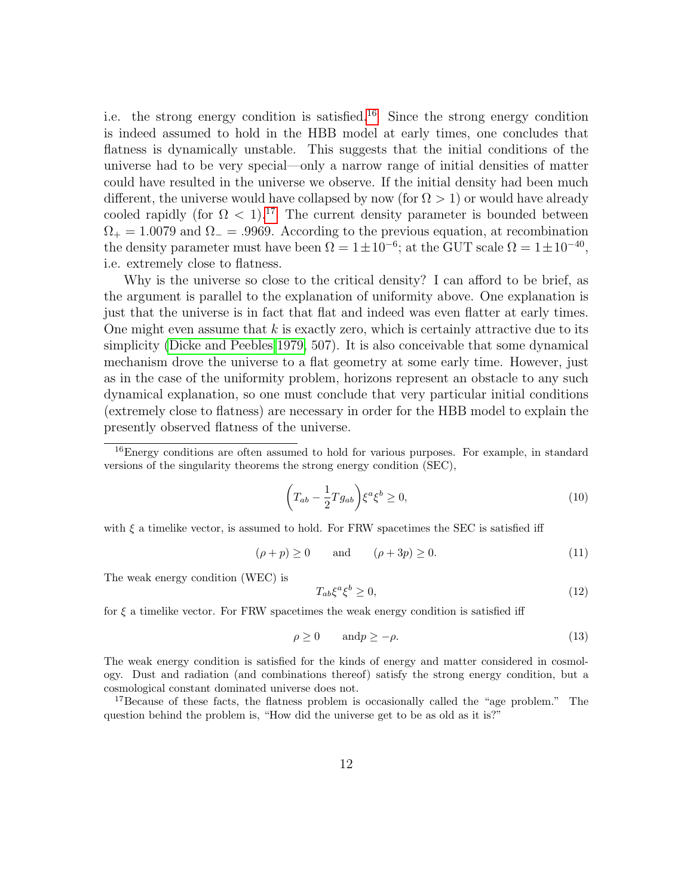i.e. the strong energy condition is satisfied.<sup>[16](#page-11-0)</sup> Since the strong energy condition is indeed assumed to hold in the HBB model at early times, one concludes that flatness is dynamically unstable. This suggests that the initial conditions of the universe had to be very special—only a narrow range of initial densities of matter could have resulted in the universe we observe. If the initial density had been much different, the universe would have collapsed by now (for  $\Omega > 1$ ) or would have already cooled rapidly (for  $\Omega$  < 1).<sup>[17](#page-11-1)</sup> The current density parameter is bounded between  $\Omega_{+} = 1.0079$  and  $\Omega_{-} = .9969$ . According to the previous equation, at recombination the density parameter must have been  $\Omega = 1 \pm 10^{-6}$ ; at the GUT scale  $\Omega = 1 \pm 10^{-40}$ , i.e. extremely close to flatness.

Why is the universe so close to the critical density? I can afford to be brief, as the argument is parallel to the explanation of uniformity above. One explanation is just that the universe is in fact that flat and indeed was even flatter at early times. One might even assume that  $k$  is exactly zero, which is certainly attractive due to its simplicity [\(Dicke and Peebles 1979,](#page-36-6) 507). It is also conceivable that some dynamical mechanism drove the universe to a flat geometry at some early time. However, just as in the case of the uniformity problem, horizons represent an obstacle to any such dynamical explanation, so one must conclude that very particular initial conditions (extremely close to flatness) are necessary in order for the HBB model to explain the presently observed flatness of the universe.

<span id="page-11-0"></span><sup>16</sup>Energy conditions are often assumed to hold for various purposes. For example, in standard versions of the singularity theorems the strong energy condition (SEC),

$$
\left(T_{ab} - \frac{1}{2}Tg_{ab}\right)\xi^a\xi^b \ge 0,\tag{10}
$$

with  $\xi$  a timelike vector, is assumed to hold. For FRW spacetimes the SEC is satisfied iff

$$
(\rho + p) \ge 0 \qquad \text{and} \qquad (\rho + 3p) \ge 0. \tag{11}
$$

The weak energy condition (WEC) is

$$
T_{ab}\xi^a\xi^b \ge 0,\tag{12}
$$

for  $\xi$  a timelike vector. For FRW spacetimes the weak energy condition is satisfied iff

$$
\rho \ge 0 \qquad \text{and} \quad p \ge -\rho. \tag{13}
$$

The weak energy condition is satisfied for the kinds of energy and matter considered in cosmology. Dust and radiation (and combinations thereof) satisfy the strong energy condition, but a cosmological constant dominated universe does not.

<span id="page-11-1"></span><sup>17</sup>Because of these facts, the flatness problem is occasionally called the "age problem." The question behind the problem is, "How did the universe get to be as old as it is?"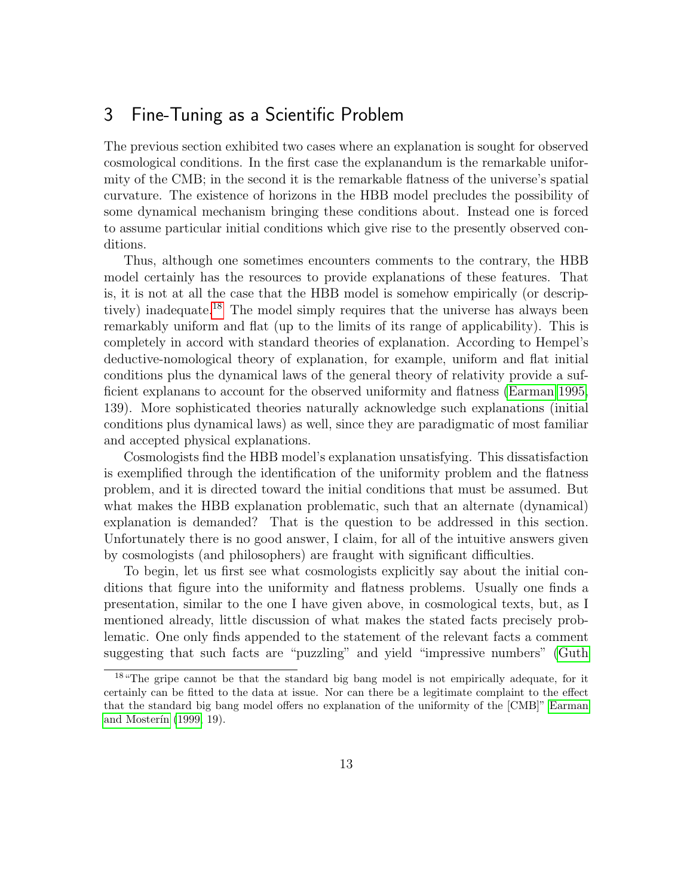### 3 Fine-Tuning as a Scientific Problem

The previous section exhibited two cases where an explanation is sought for observed cosmological conditions. In the first case the explanandum is the remarkable uniformity of the CMB; in the second it is the remarkable flatness of the universe's spatial curvature. The existence of horizons in the HBB model precludes the possibility of some dynamical mechanism bringing these conditions about. Instead one is forced to assume particular initial conditions which give rise to the presently observed conditions.

Thus, although one sometimes encounters comments to the contrary, the HBB model certainly has the resources to provide explanations of these features. That is, it is not at all the case that the HBB model is somehow empirically (or descrip-tively) inadequate.<sup>[18](#page-12-0)</sup> The model simply requires that the universe has always been remarkably uniform and flat (up to the limits of its range of applicability). This is completely in accord with standard theories of explanation. According to Hempel's deductive-nomological theory of explanation, for example, uniform and flat initial conditions plus the dynamical laws of the general theory of relativity provide a sufficient explanans to account for the observed uniformity and flatness [\(Earman 1995,](#page-36-2) 139). More sophisticated theories naturally acknowledge such explanations (initial conditions plus dynamical laws) as well, since they are paradigmatic of most familiar and accepted physical explanations.

Cosmologists find the HBB model's explanation unsatisfying. This dissatisfaction is exemplified through the identification of the uniformity problem and the flatness problem, and it is directed toward the initial conditions that must be assumed. But what makes the HBB explanation problematic, such that an alternate (dynamical) explanation is demanded? That is the question to be addressed in this section. Unfortunately there is no good answer, I claim, for all of the intuitive answers given by cosmologists (and philosophers) are fraught with significant difficulties.

To begin, let us first see what cosmologists explicitly say about the initial conditions that figure into the uniformity and flatness problems. Usually one finds a presentation, similar to the one I have given above, in cosmological texts, but, as I mentioned already, little discussion of what makes the stated facts precisely problematic. One only finds appended to the statement of the relevant facts a comment suggesting that such facts are "puzzling" and yield "impressive numbers" [\(Guth](#page-37-0)

<span id="page-12-0"></span><sup>&</sup>lt;sup>18</sup> The gripe cannot be that the standard big bang model is not empirically adequate, for it certainly can be fitted to the data at issue. Nor can there be a legitimate complaint to the effect that the standard big bang model offers no explanation of the uniformity of the [CMB]" [Earman](#page-36-0) and Mosterin [\(1999,](#page-36-0) 19).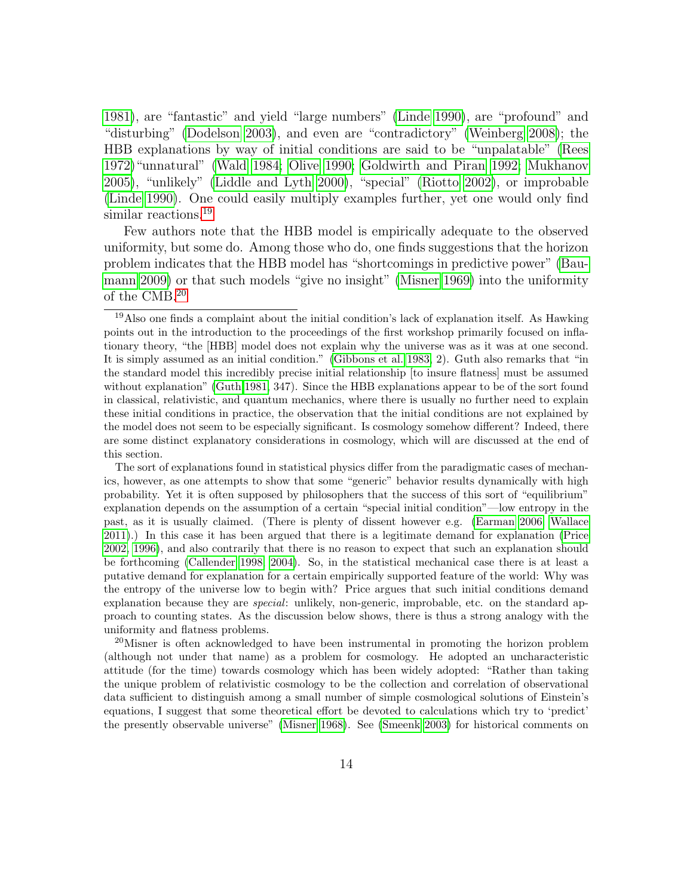[1981\)](#page-37-0), are "fantastic" and yield "large numbers" [\(Linde 1990\)](#page-38-4), are "profound" and "disturbing" [\(Dodelson 2003\)](#page-36-3), and even are "contradictory" [\(Weinberg 2008\)](#page-40-0); the HBB explanations by way of initial conditions are said to be "unpalatable" [\(Rees](#page-39-4) [1972\)](#page-39-4)"unnatural" [\(Wald 1984;](#page-39-5) [Olive 1990;](#page-38-8) [Goldwirth and Piran 1992;](#page-37-7) [Mukhanov](#page-38-6) [2005\)](#page-38-6), "unlikely" [\(Liddle and Lyth 2000\)](#page-37-6), "special" [\(Riotto 2002\)](#page-39-6), or improbable [\(Linde 1990\)](#page-38-4). One could easily multiply examples further, yet one would only find similar reactions.<sup>[19](#page-13-0)</sup>

Few authors note that the HBB model is empirically adequate to the observed uniformity, but some do. Among those who do, one finds suggestions that the horizon problem indicates that the HBB model has "shortcomings in predictive power" [\(Bau](#page-35-3)[mann 2009\)](#page-35-3) or that such models "give no insight" [\(Misner 1969\)](#page-38-9) into the uniformity of the CMB.[20](#page-13-1)

The sort of explanations found in statistical physics differ from the paradigmatic cases of mechanics, however, as one attempts to show that some "generic" behavior results dynamically with high probability. Yet it is often supposed by philosophers that the success of this sort of "equilibrium" explanation depends on the assumption of a certain "special initial condition"—low entropy in the past, as it is usually claimed. (There is plenty of dissent however e.g. [\(Earman 2006;](#page-36-8) [Wallace](#page-40-2) [2011\)](#page-40-2).) In this case it has been argued that there is a legitimate demand for explanation [\(Price](#page-39-7) [2002,](#page-39-7) [1996\)](#page-39-8), and also contrarily that there is no reason to expect that such an explanation should be forthcoming [\(Callender 1998,](#page-35-4) [2004\)](#page-35-5). So, in the statistical mechanical case there is at least a putative demand for explanation for a certain empirically supported feature of the world: Why was the entropy of the universe low to begin with? Price argues that such initial conditions demand explanation because they are special: unlikely, non-generic, improbable, etc. on the standard approach to counting states. As the discussion below shows, there is thus a strong analogy with the uniformity and flatness problems.

<span id="page-13-1"></span><sup>20</sup>Misner is often acknowledged to have been instrumental in promoting the horizon problem (although not under that name) as a problem for cosmology. He adopted an uncharacteristic attitude (for the time) towards cosmology which has been widely adopted: "Rather than taking the unique problem of relativistic cosmology to be the collection and correlation of observational data sufficient to distinguish among a small number of simple cosmological solutions of Einstein's equations, I suggest that some theoretical effort be devoted to calculations which try to 'predict' the presently observable universe" [\(Misner 1968\)](#page-38-10). See [\(Smeenk 2003\)](#page-39-1) for historical comments on

<span id="page-13-0"></span><sup>19</sup>Also one finds a complaint about the initial condition's lack of explanation itself. As Hawking points out in the introduction to the proceedings of the first workshop primarily focused on inflationary theory, "the [HBB] model does not explain why the universe was as it was at one second. It is simply assumed as an initial condition." [\(Gibbons et al. 1983,](#page-36-7) 2). Guth also remarks that "in the standard model this incredibly precise initial relationship [to insure flatness] must be assumed without explanation" [\(Guth 1981,](#page-37-0) 347). Since the HBB explanations appear to be of the sort found in classical, relativistic, and quantum mechanics, where there is usually no further need to explain these initial conditions in practice, the observation that the initial conditions are not explained by the model does not seem to be especially significant. Is cosmology somehow different? Indeed, there are some distinct explanatory considerations in cosmology, which will are discussed at the end of this section.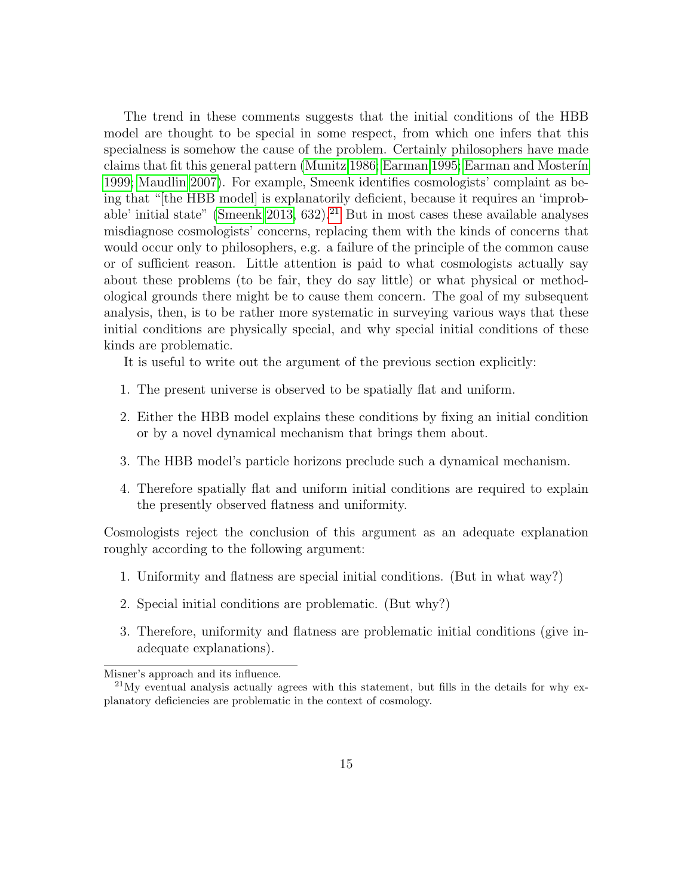The trend in these comments suggests that the initial conditions of the HBB model are thought to be special in some respect, from which one infers that this specialness is somehow the cause of the problem. Certainly philosophers have made claims that fit this general pattern [\(Munitz 1986;](#page-38-11) [Earman 1995;](#page-36-2) Earman and Mosterin [1999;](#page-36-0) [Maudlin 2007\)](#page-38-2). For example, Smeenk identifies cosmologists' complaint as being that "[the HBB model] is explanatorily deficient, because it requires an 'improb-able' initial state" [\(Smeenk 2013,](#page-39-9) 632).<sup>[21](#page-14-0)</sup> But in most cases these available analyses misdiagnose cosmologists' concerns, replacing them with the kinds of concerns that would occur only to philosophers, e.g. a failure of the principle of the common cause or of sufficient reason. Little attention is paid to what cosmologists actually say about these problems (to be fair, they do say little) or what physical or methodological grounds there might be to cause them concern. The goal of my subsequent analysis, then, is to be rather more systematic in surveying various ways that these initial conditions are physically special, and why special initial conditions of these kinds are problematic.

It is useful to write out the argument of the previous section explicitly:

- 1. The present universe is observed to be spatially flat and uniform.
- 2. Either the HBB model explains these conditions by fixing an initial condition or by a novel dynamical mechanism that brings them about.
- 3. The HBB model's particle horizons preclude such a dynamical mechanism.
- 4. Therefore spatially flat and uniform initial conditions are required to explain the presently observed flatness and uniformity.

Cosmologists reject the conclusion of this argument as an adequate explanation roughly according to the following argument:

- 1. Uniformity and flatness are special initial conditions. (But in what way?)
- 2. Special initial conditions are problematic. (But why?)
- 3. Therefore, uniformity and flatness are problematic initial conditions (give inadequate explanations).

Misner's approach and its influence.

<span id="page-14-0"></span> $^{21}$ My eventual analysis actually agrees with this statement, but fills in the details for why explanatory deficiencies are problematic in the context of cosmology.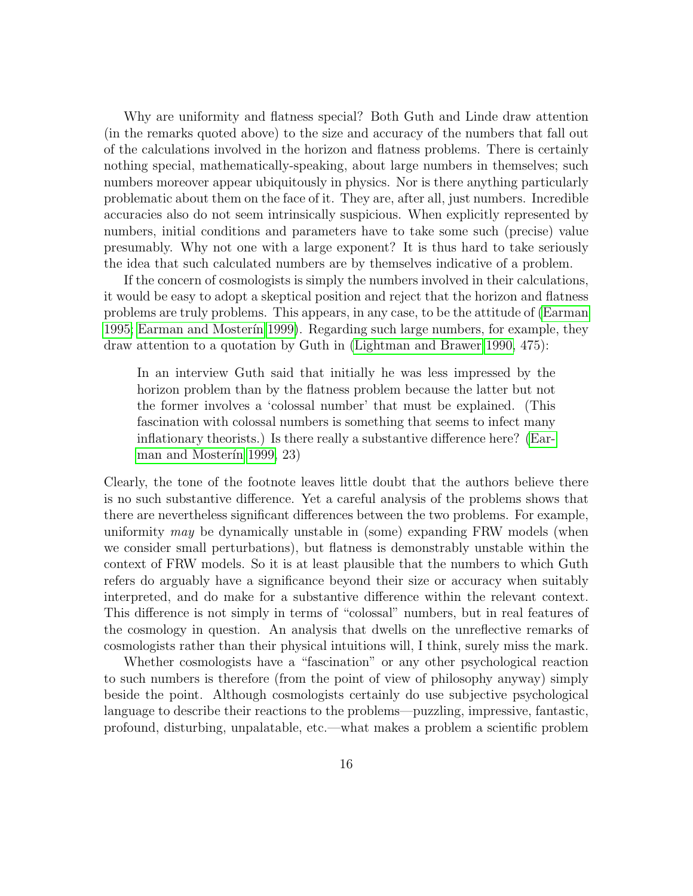Why are uniformity and flatness special? Both Guth and Linde draw attention (in the remarks quoted above) to the size and accuracy of the numbers that fall out of the calculations involved in the horizon and flatness problems. There is certainly nothing special, mathematically-speaking, about large numbers in themselves; such numbers moreover appear ubiquitously in physics. Nor is there anything particularly problematic about them on the face of it. They are, after all, just numbers. Incredible accuracies also do not seem intrinsically suspicious. When explicitly represented by numbers, initial conditions and parameters have to take some such (precise) value presumably. Why not one with a large exponent? It is thus hard to take seriously the idea that such calculated numbers are by themselves indicative of a problem.

If the concern of cosmologists is simply the numbers involved in their calculations, it would be easy to adopt a skeptical position and reject that the horizon and flatness problems are truly problems. This appears, in any case, to be the attitude of [\(Earman](#page-36-2) [1995;](#page-36-2) Earman and Mosterin 1999). Regarding such large numbers, for example, they draw attention to a quotation by Guth in [\(Lightman and Brawer 1990,](#page-37-8) 475):

In an interview Guth said that initially he was less impressed by the horizon problem than by the flatness problem because the latter but not the former involves a 'colossal number' that must be explained. (This fascination with colossal numbers is something that seems to infect many inflationary theorists.) Is there really a substantive difference here? [\(Ear](#page-36-0)man and Mosterin 1999, 23)

Clearly, the tone of the footnote leaves little doubt that the authors believe there is no such substantive difference. Yet a careful analysis of the problems shows that there are nevertheless significant differences between the two problems. For example, uniformity may be dynamically unstable in (some) expanding FRW models (when we consider small perturbations), but flatness is demonstrably unstable within the context of FRW models. So it is at least plausible that the numbers to which Guth refers do arguably have a significance beyond their size or accuracy when suitably interpreted, and do make for a substantive difference within the relevant context. This difference is not simply in terms of "colossal" numbers, but in real features of the cosmology in question. An analysis that dwells on the unreflective remarks of cosmologists rather than their physical intuitions will, I think, surely miss the mark.

Whether cosmologists have a "fascination" or any other psychological reaction to such numbers is therefore (from the point of view of philosophy anyway) simply beside the point. Although cosmologists certainly do use subjective psychological language to describe their reactions to the problems—puzzling, impressive, fantastic, profound, disturbing, unpalatable, etc.—what makes a problem a scientific problem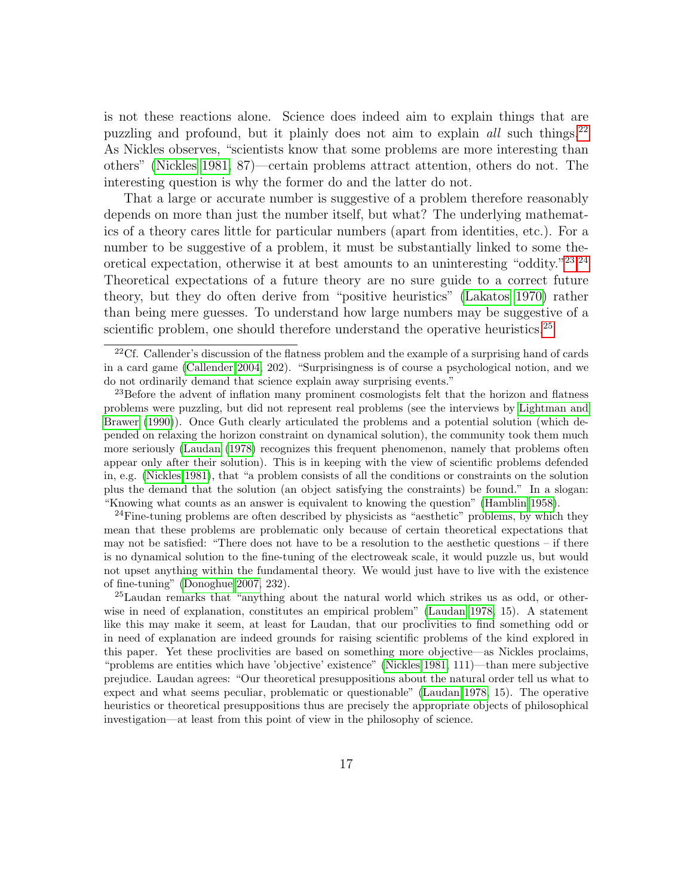is not these reactions alone. Science does indeed aim to explain things that are puzzling and profound, but it plainly does not aim to explain all such things.<sup>[22](#page-16-0)</sup> As Nickles observes, "scientists know that some problems are more interesting than others" [\(Nickles 1981,](#page-38-12) 87)—certain problems attract attention, others do not. The interesting question is why the former do and the latter do not.

That a large or accurate number is suggestive of a problem therefore reasonably depends on more than just the number itself, but what? The underlying mathematics of a theory cares little for particular numbers (apart from identities, etc.). For a number to be suggestive of a problem, it must be substantially linked to some the-oretical expectation, otherwise it at best amounts to an uninteresting "oddity."<sup>[23](#page-16-1)[,24](#page-16-2)</sup> Theoretical expectations of a future theory are no sure guide to a correct future theory, but they do often derive from "positive heuristics" [\(Lakatos 1970\)](#page-37-9) rather than being mere guesses. To understand how large numbers may be suggestive of a scientific problem, one should therefore understand the operative heuristics.<sup>[25](#page-16-3)</sup>

<span id="page-16-2"></span> $24$ Fine-tuning problems are often described by physicists as "aesthetic" problems, by which they mean that these problems are problematic only because of certain theoretical expectations that may not be satisfied: "There does not have to be a resolution to the aesthetic questions – if there is no dynamical solution to the fine-tuning of the electroweak scale, it would puzzle us, but would not upset anything within the fundamental theory. We would just have to live with the existence of fine-tuning" [\(Donoghue 2007,](#page-36-1) 232).

<span id="page-16-3"></span><sup>25</sup>Laudan remarks that "anything about the natural world which strikes us as odd, or otherwise in need of explanation, constitutes an empirical problem" [\(Laudan 1978,](#page-37-2) 15). A statement like this may make it seem, at least for Laudan, that our proclivities to find something odd or in need of explanation are indeed grounds for raising scientific problems of the kind explored in this paper. Yet these proclivities are based on something more objective—as Nickles proclaims, "problems are entities which have 'objective' existence" [\(Nickles 1981,](#page-38-12) 111)—than mere subjective prejudice. Laudan agrees: "Our theoretical presuppositions about the natural order tell us what to expect and what seems peculiar, problematic or questionable" [\(Laudan 1978,](#page-37-2) 15). The operative heuristics or theoretical presuppositions thus are precisely the appropriate objects of philosophical investigation—at least from this point of view in the philosophy of science.

<span id="page-16-0"></span><sup>&</sup>lt;sup>22</sup>Cf. Callender's discussion of the flatness problem and the example of a surprising hand of cards in a card game [\(Callender 2004,](#page-35-5) 202). "Surprisingness is of course a psychological notion, and we do not ordinarily demand that science explain away surprising events."

<span id="page-16-1"></span><sup>&</sup>lt;sup>23</sup>Before the advent of inflation many prominent cosmologists felt that the horizon and flatness problems were puzzling, but did not represent real problems (see the interviews by [Lightman and](#page-37-8) [Brawer](#page-37-8) [\(1990\)](#page-37-8)). Once Guth clearly articulated the problems and a potential solution (which depended on relaxing the horizon constraint on dynamical solution), the community took them much more seriously [\(Laudan](#page-37-2) [\(1978\)](#page-37-2) recognizes this frequent phenomenon, namely that problems often appear only after their solution). This is in keeping with the view of scientific problems defended in, e.g. [\(Nickles 1981\)](#page-38-12), that "a problem consists of all the conditions or constraints on the solution plus the demand that the solution (an object satisfying the constraints) be found." In a slogan: "Knowing what counts as an answer is equivalent to knowing the question" [\(Hamblin 1958\)](#page-37-10).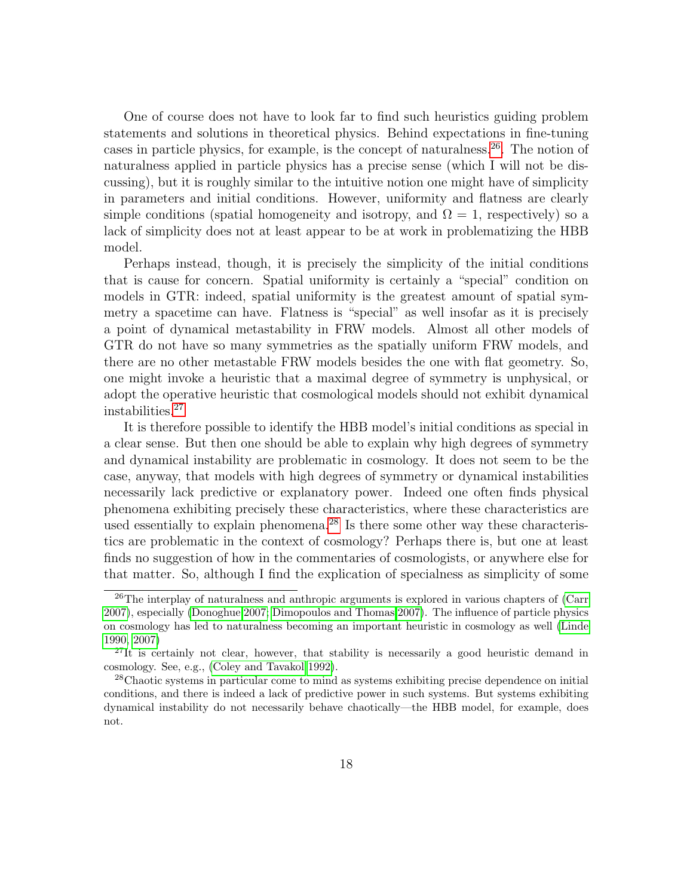One of course does not have to look far to find such heuristics guiding problem statements and solutions in theoretical physics. Behind expectations in fine-tuning cases in particle physics, for example, is the concept of naturalness.[26](#page-17-0). The notion of naturalness applied in particle physics has a precise sense (which I will not be discussing), but it is roughly similar to the intuitive notion one might have of simplicity in parameters and initial conditions. However, uniformity and flatness are clearly simple conditions (spatial homogeneity and isotropy, and  $\Omega = 1$ , respectively) so a lack of simplicity does not at least appear to be at work in problematizing the HBB model.

Perhaps instead, though, it is precisely the simplicity of the initial conditions that is cause for concern. Spatial uniformity is certainly a "special" condition on models in GTR: indeed, spatial uniformity is the greatest amount of spatial symmetry a spacetime can have. Flatness is "special" as well insofar as it is precisely a point of dynamical metastability in FRW models. Almost all other models of GTR do not have so many symmetries as the spatially uniform FRW models, and there are no other metastable FRW models besides the one with flat geometry. So, one might invoke a heuristic that a maximal degree of symmetry is unphysical, or adopt the operative heuristic that cosmological models should not exhibit dynamical instabilities.[27](#page-17-1)

It is therefore possible to identify the HBB model's initial conditions as special in a clear sense. But then one should be able to explain why high degrees of symmetry and dynamical instability are problematic in cosmology. It does not seem to be the case, anyway, that models with high degrees of symmetry or dynamical instabilities necessarily lack predictive or explanatory power. Indeed one often finds physical phenomena exhibiting precisely these characteristics, where these characteristics are used essentially to explain phenomena.[28](#page-17-2) Is there some other way these characteristics are problematic in the context of cosmology? Perhaps there is, but one at least finds no suggestion of how in the commentaries of cosmologists, or anywhere else for that matter. So, although I find the explication of specialness as simplicity of some

<span id="page-17-0"></span><sup>&</sup>lt;sup>26</sup>The interplay of naturalness and anthropic arguments is explored in various chapters of [\(Carr](#page-35-6) [2007\)](#page-35-6), especially [\(Donoghue 2007;](#page-36-1) [Dimopoulos and Thomas 2007\)](#page-36-9). The influence of particle physics on cosmology has led to naturalness becoming an important heuristic in cosmology as well [\(Linde](#page-38-4) [1990,](#page-38-4) [2007\)](#page-38-13)

<span id="page-17-1"></span> $^{27}$ It is certainly not clear, however, that stability is necessarily a good heuristic demand in cosmology. See, e.g., [\(Coley and Tavakol 1992\)](#page-35-7).

<span id="page-17-2"></span><sup>28</sup>Chaotic systems in particular come to mind as systems exhibiting precise dependence on initial conditions, and there is indeed a lack of predictive power in such systems. But systems exhibiting dynamical instability do not necessarily behave chaotically—the HBB model, for example, does not.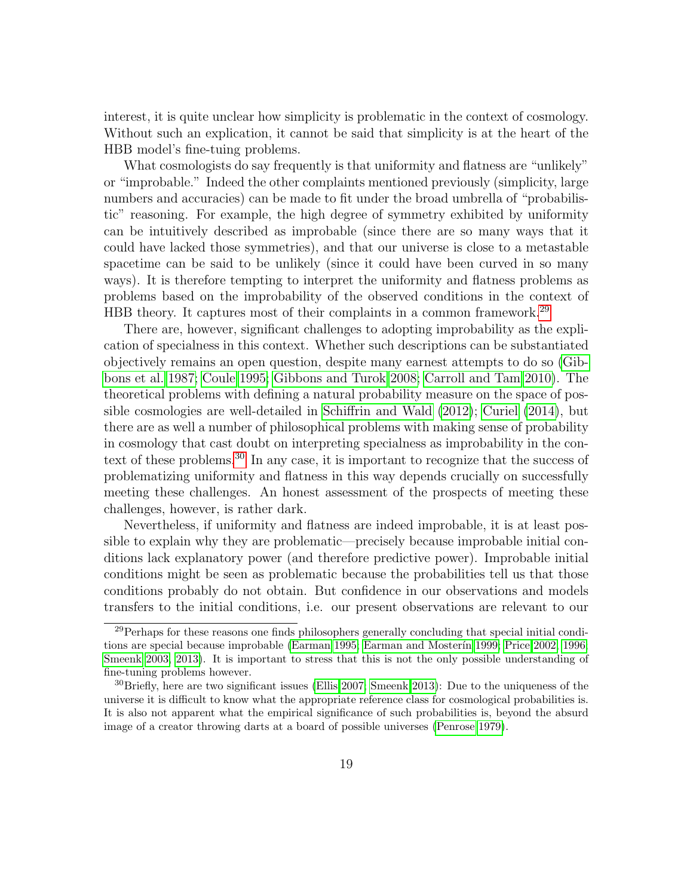interest, it is quite unclear how simplicity is problematic in the context of cosmology. Without such an explication, it cannot be said that simplicity is at the heart of the HBB model's fine-tuing problems.

What cosmologists do say frequently is that uniformity and flatness are "unlikely" or "improbable." Indeed the other complaints mentioned previously (simplicity, large numbers and accuracies) can be made to fit under the broad umbrella of "probabilistic" reasoning. For example, the high degree of symmetry exhibited by uniformity can be intuitively described as improbable (since there are so many ways that it could have lacked those symmetries), and that our universe is close to a metastable spacetime can be said to be unlikely (since it could have been curved in so many ways). It is therefore tempting to interpret the uniformity and flatness problems as problems based on the improbability of the observed conditions in the context of HBB theory. It captures most of their complaints in a common framework.<sup>[29](#page-18-0)</sup>

There are, however, significant challenges to adopting improbability as the explication of specialness in this context. Whether such descriptions can be substantiated objectively remains an open question, despite many earnest attempts to do so [\(Gib](#page-36-10)[bons et al. 1987;](#page-36-10) [Coule 1995;](#page-35-8) [Gibbons and Turok 2008;](#page-37-11) [Carroll and Tam 2010\)](#page-35-9). The theoretical problems with defining a natural probability measure on the space of possible cosmologies are well-detailed in [Schiffrin and Wald](#page-39-10) [\(2012\)](#page-39-10); [Curiel](#page-35-10) [\(2014\)](#page-35-10), but there are as well a number of philosophical problems with making sense of probability in cosmology that cast doubt on interpreting specialness as improbability in the con-text of these problems.<sup>[30](#page-18-1)</sup> In any case, it is important to recognize that the success of problematizing uniformity and flatness in this way depends crucially on successfully meeting these challenges. An honest assessment of the prospects of meeting these challenges, however, is rather dark.

Nevertheless, if uniformity and flatness are indeed improbable, it is at least possible to explain why they are problematic—precisely because improbable initial conditions lack explanatory power (and therefore predictive power). Improbable initial conditions might be seen as problematic because the probabilities tell us that those conditions probably do not obtain. But confidence in our observations and models transfers to the initial conditions, i.e. our present observations are relevant to our

<span id="page-18-0"></span><sup>&</sup>lt;sup>29</sup>Perhaps for these reasons one finds philosophers generally concluding that special initial condi-tions are special because improbable [\(Earman 1995;](#page-36-2) Earman and Mosterin 1999; [Price 2002,](#page-39-7) [1996;](#page-39-8) [Smeenk 2003,](#page-39-1) [2013\)](#page-39-9). It is important to stress that this is not the only possible understanding of fine-tuning problems however.

<span id="page-18-1"></span><sup>30</sup>Briefly, here are two significant issues [\(Ellis 2007;](#page-36-11) [Smeenk 2013\)](#page-39-9): Due to the uniqueness of the universe it is difficult to know what the appropriate reference class for cosmological probabilities is. It is also not apparent what the empirical significance of such probabilities is, beyond the absurd image of a creator throwing darts at a board of possible universes [\(Penrose 1979\)](#page-38-14).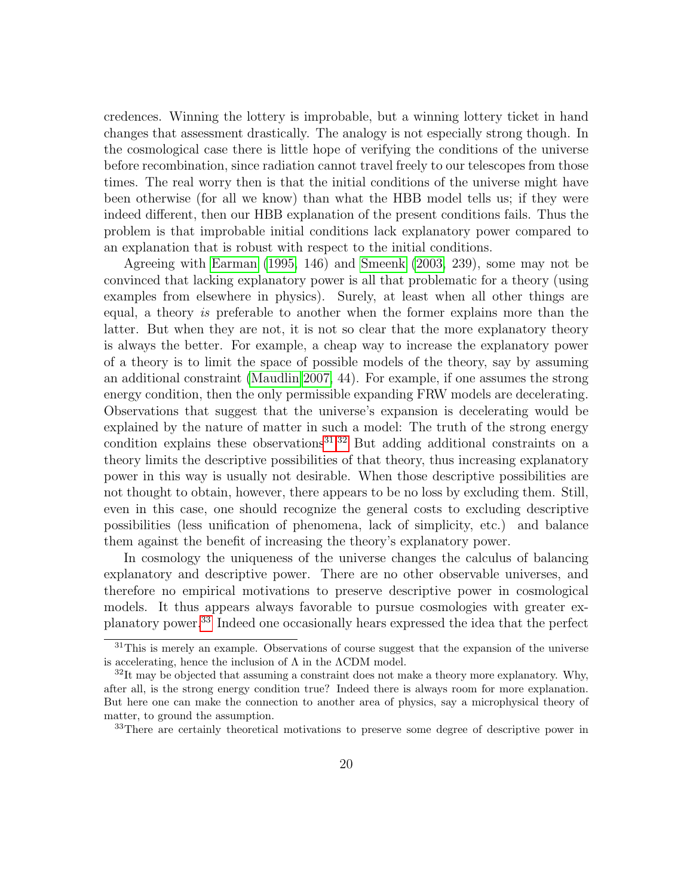credences. Winning the lottery is improbable, but a winning lottery ticket in hand changes that assessment drastically. The analogy is not especially strong though. In the cosmological case there is little hope of verifying the conditions of the universe before recombination, since radiation cannot travel freely to our telescopes from those times. The real worry then is that the initial conditions of the universe might have been otherwise (for all we know) than what the HBB model tells us; if they were indeed different, then our HBB explanation of the present conditions fails. Thus the problem is that improbable initial conditions lack explanatory power compared to an explanation that is robust with respect to the initial conditions.

Agreeing with [Earman](#page-36-2) [\(1995,](#page-36-2) 146) and [Smeenk](#page-39-1) [\(2003,](#page-39-1) 239), some may not be convinced that lacking explanatory power is all that problematic for a theory (using examples from elsewhere in physics). Surely, at least when all other things are equal, a theory is preferable to another when the former explains more than the latter. But when they are not, it is not so clear that the more explanatory theory is always the better. For example, a cheap way to increase the explanatory power of a theory is to limit the space of possible models of the theory, say by assuming an additional constraint [\(Maudlin 2007,](#page-38-2) 44). For example, if one assumes the strong energy condition, then the only permissible expanding FRW models are decelerating. Observations that suggest that the universe's expansion is decelerating would be explained by the nature of matter in such a model: The truth of the strong energy condition explains these observations $31,32$  $31,32$  But adding additional constraints on a theory limits the descriptive possibilities of that theory, thus increasing explanatory power in this way is usually not desirable. When those descriptive possibilities are not thought to obtain, however, there appears to be no loss by excluding them. Still, even in this case, one should recognize the general costs to excluding descriptive possibilities (less unification of phenomena, lack of simplicity, etc.) and balance them against the benefit of increasing the theory's explanatory power.

In cosmology the uniqueness of the universe changes the calculus of balancing explanatory and descriptive power. There are no other observable universes, and therefore no empirical motivations to preserve descriptive power in cosmological models. It thus appears always favorable to pursue cosmologies with greater explanatory power.[33](#page-19-2) Indeed one occasionally hears expressed the idea that the perfect

<span id="page-19-0"></span> $31$ This is merely an example. Observations of course suggest that the expansion of the universe is accelerating, hence the inclusion of  $\Lambda$  in the  $\Lambda$ CDM model.

<span id="page-19-1"></span> $32$ It may be objected that assuming a constraint does not make a theory more explanatory. Why, after all, is the strong energy condition true? Indeed there is always room for more explanation. But here one can make the connection to another area of physics, say a microphysical theory of matter, to ground the assumption.

<span id="page-19-2"></span><sup>&</sup>lt;sup>33</sup>There are certainly theoretical motivations to preserve some degree of descriptive power in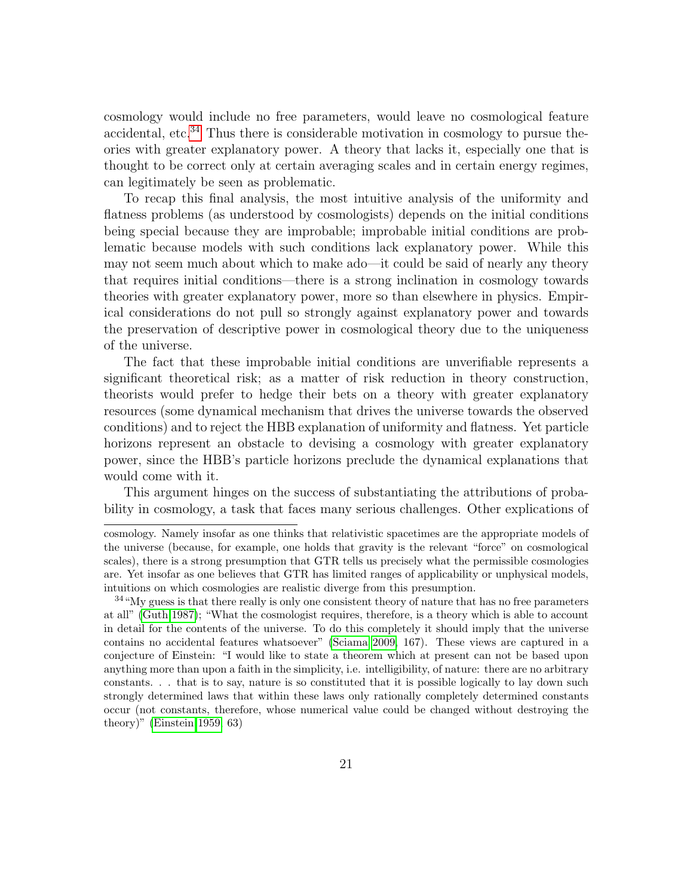cosmology would include no free parameters, would leave no cosmological feature accidental, etc.<sup>[34](#page-20-0)</sup> Thus there is considerable motivation in cosmology to pursue theories with greater explanatory power. A theory that lacks it, especially one that is thought to be correct only at certain averaging scales and in certain energy regimes, can legitimately be seen as problematic.

To recap this final analysis, the most intuitive analysis of the uniformity and flatness problems (as understood by cosmologists) depends on the initial conditions being special because they are improbable; improbable initial conditions are problematic because models with such conditions lack explanatory power. While this may not seem much about which to make ado—it could be said of nearly any theory that requires initial conditions—there is a strong inclination in cosmology towards theories with greater explanatory power, more so than elsewhere in physics. Empirical considerations do not pull so strongly against explanatory power and towards the preservation of descriptive power in cosmological theory due to the uniqueness of the universe.

The fact that these improbable initial conditions are unverifiable represents a significant theoretical risk; as a matter of risk reduction in theory construction, theorists would prefer to hedge their bets on a theory with greater explanatory resources (some dynamical mechanism that drives the universe towards the observed conditions) and to reject the HBB explanation of uniformity and flatness. Yet particle horizons represent an obstacle to devising a cosmology with greater explanatory power, since the HBB's particle horizons preclude the dynamical explanations that would come with it.

This argument hinges on the success of substantiating the attributions of probability in cosmology, a task that faces many serious challenges. Other explications of

cosmology. Namely insofar as one thinks that relativistic spacetimes are the appropriate models of the universe (because, for example, one holds that gravity is the relevant "force" on cosmological scales), there is a strong presumption that GTR tells us precisely what the permissible cosmologies are. Yet insofar as one believes that GTR has limited ranges of applicability or unphysical models, intuitions on which cosmologies are realistic diverge from this presumption.

<span id="page-20-0"></span><sup>&</sup>lt;sup>34</sup>"My guess is that there really is only one consistent theory of nature that has no free parameters at all" [\(Guth 1987\)](#page-37-12); "What the cosmologist requires, therefore, is a theory which is able to account in detail for the contents of the universe. To do this completely it should imply that the universe contains no accidental features whatsoever" [\(Sciama 2009,](#page-39-11) 167). These views are captured in a conjecture of Einstein: "I would like to state a theorem which at present can not be based upon anything more than upon a faith in the simplicity, i.e. intelligibility, of nature: there are no arbitrary constants. . . that is to say, nature is so constituted that it is possible logically to lay down such strongly determined laws that within these laws only rationally completely determined constants occur (not constants, therefore, whose numerical value could be changed without destroying the theory)" [\(Einstein 1959,](#page-36-12) 63)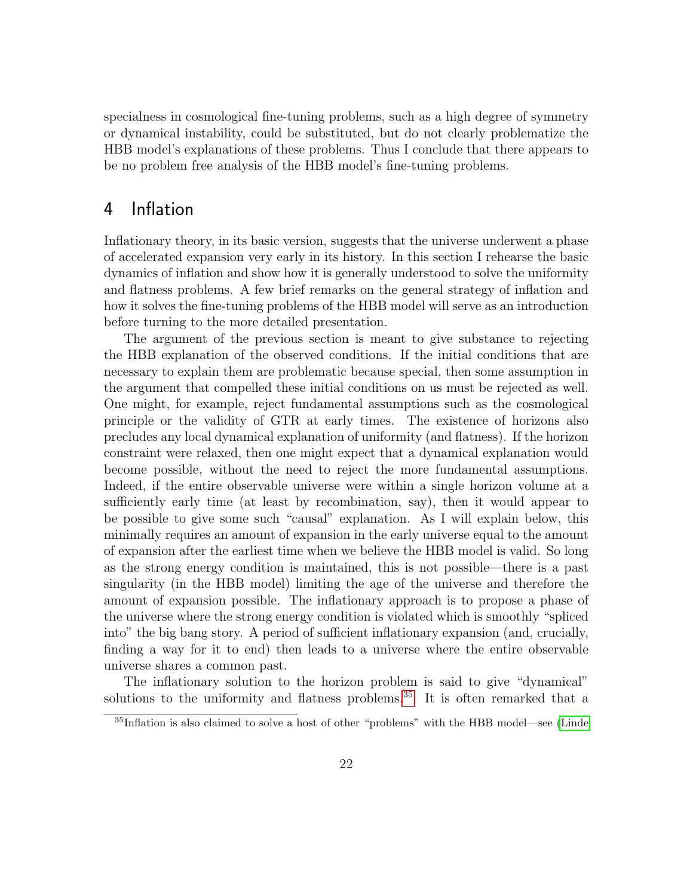specialness in cosmological fine-tuning problems, such as a high degree of symmetry or dynamical instability, could be substituted, but do not clearly problematize the HBB model's explanations of these problems. Thus I conclude that there appears to be no problem free analysis of the HBB model's fine-tuning problems.

## 4 Inflation

Inflationary theory, in its basic version, suggests that the universe underwent a phase of accelerated expansion very early in its history. In this section I rehearse the basic dynamics of inflation and show how it is generally understood to solve the uniformity and flatness problems. A few brief remarks on the general strategy of inflation and how it solves the fine-tuning problems of the HBB model will serve as an introduction before turning to the more detailed presentation.

The argument of the previous section is meant to give substance to rejecting the HBB explanation of the observed conditions. If the initial conditions that are necessary to explain them are problematic because special, then some assumption in the argument that compelled these initial conditions on us must be rejected as well. One might, for example, reject fundamental assumptions such as the cosmological principle or the validity of GTR at early times. The existence of horizons also precludes any local dynamical explanation of uniformity (and flatness). If the horizon constraint were relaxed, then one might expect that a dynamical explanation would become possible, without the need to reject the more fundamental assumptions. Indeed, if the entire observable universe were within a single horizon volume at a sufficiently early time (at least by recombination, say), then it would appear to be possible to give some such "causal" explanation. As I will explain below, this minimally requires an amount of expansion in the early universe equal to the amount of expansion after the earliest time when we believe the HBB model is valid. So long as the strong energy condition is maintained, this is not possible—there is a past singularity (in the HBB model) limiting the age of the universe and therefore the amount of expansion possible. The inflationary approach is to propose a phase of the universe where the strong energy condition is violated which is smoothly "spliced into" the big bang story. A period of sufficient inflationary expansion (and, crucially, finding a way for it to end) then leads to a universe where the entire observable universe shares a common past.

The inflationary solution to the horizon problem is said to give "dynamical" solutions to the uniformity and flatness problems.<sup>[35](#page-21-0)</sup> It is often remarked that a

<span id="page-21-0"></span><sup>35</sup>Inflation is also claimed to solve a host of other "problems" with the HBB model—see [\(Linde](#page-38-4)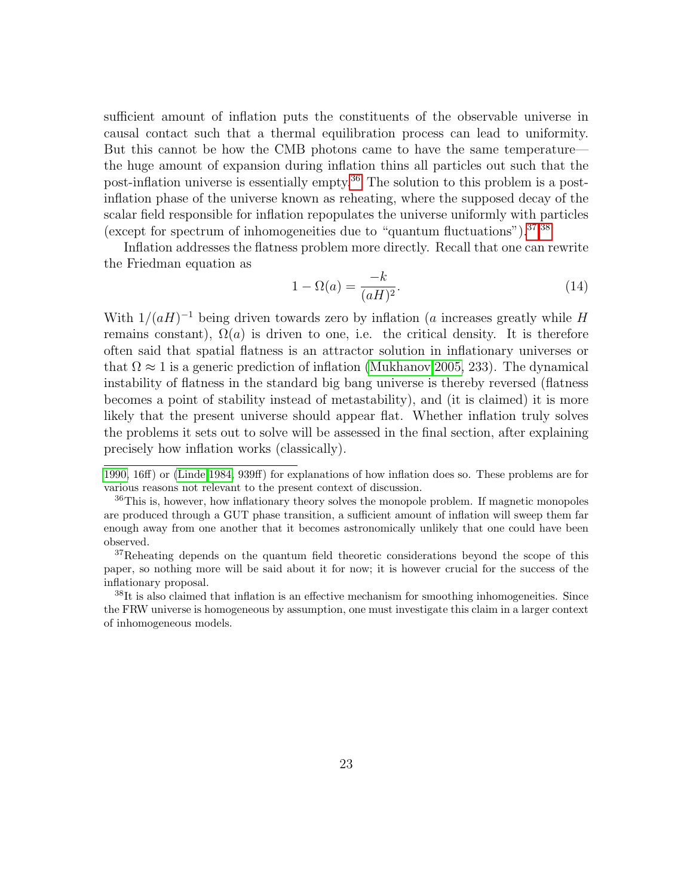sufficient amount of inflation puts the constituents of the observable universe in causal contact such that a thermal equilibration process can lead to uniformity. But this cannot be how the CMB photons came to have the same temperature the huge amount of expansion during inflation thins all particles out such that the post-inflation universe is essentially empty.[36](#page-22-0) The solution to this problem is a postinflation phase of the universe known as reheating, where the supposed decay of the scalar field responsible for inflation repopulates the universe uniformly with particles (except for spectrum of inhomogeneities due to "quantum fluctuations").[37,](#page-22-1)[38](#page-22-2)

Inflation addresses the flatness problem more directly. Recall that one can rewrite the Friedman equation as

$$
1 - \Omega(a) = \frac{-k}{(aH)^2}.\tag{14}
$$

With  $1/(aH)^{-1}$  being driven towards zero by inflation (a increases greatly while H remains constant),  $\Omega(a)$  is driven to one, i.e. the critical density. It is therefore often said that spatial flatness is an attractor solution in inflationary universes or that  $\Omega \approx 1$  is a generic prediction of inflation [\(Mukhanov 2005,](#page-38-6) 233). The dynamical instability of flatness in the standard big bang universe is thereby reversed (flatness becomes a point of stability instead of metastability), and (it is claimed) it is more likely that the present universe should appear flat. Whether inflation truly solves the problems it sets out to solve will be assessed in the final section, after explaining precisely how inflation works (classically).

[<sup>1990,</sup>](#page-38-4) 16ff) or [\(Linde 1984,](#page-38-5) 939ff) for explanations of how inflation does so. These problems are for various reasons not relevant to the present context of discussion.

<span id="page-22-0"></span><sup>&</sup>lt;sup>36</sup>This is, however, how inflationary theory solves the monopole problem. If magnetic monopoles are produced through a GUT phase transition, a sufficient amount of inflation will sweep them far enough away from one another that it becomes astronomically unlikely that one could have been observed.

<span id="page-22-1"></span> $37$ Reheating depends on the quantum field theoretic considerations beyond the scope of this paper, so nothing more will be said about it for now; it is however crucial for the success of the inflationary proposal.

<span id="page-22-2"></span><sup>&</sup>lt;sup>38</sup>It is also claimed that inflation is an effective mechanism for smoothing inhomogeneities. Since the FRW universe is homogeneous by assumption, one must investigate this claim in a larger context of inhomogeneous models.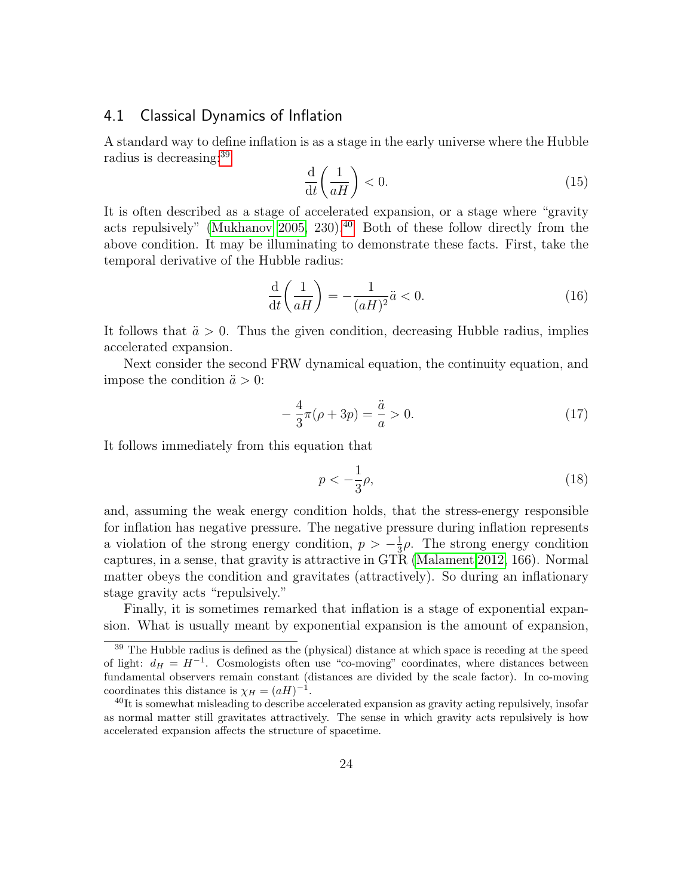#### 4.1 Classical Dynamics of Inflation

A standard way to define inflation is as a stage in the early universe where the Hubble radius is decreasing:<sup>[39](#page-23-0)</sup>

$$
\frac{\mathrm{d}}{\mathrm{d}t} \left( \frac{1}{aH} \right) < 0. \tag{15}
$$

It is often described as a stage of accelerated expansion, or a stage where "gravity acts repulsively" [\(Mukhanov 2005,](#page-38-6) 230).<sup>[40](#page-23-1)</sup> Both of these follow directly from the above condition. It may be illuminating to demonstrate these facts. First, take the temporal derivative of the Hubble radius:

$$
\frac{\mathrm{d}}{\mathrm{d}t} \left( \frac{1}{aH} \right) = -\frac{1}{(aH)^2} \ddot{a} < 0. \tag{16}
$$

It follows that  $\ddot{a} > 0$ . Thus the given condition, decreasing Hubble radius, implies accelerated expansion.

Next consider the second FRW dynamical equation, the continuity equation, and impose the condition  $\ddot{a} > 0$ :

$$
-\frac{4}{3}\pi(\rho+3p) = \frac{\ddot{a}}{a} > 0.
$$
 (17)

It follows immediately from this equation that

$$
p < -\frac{1}{3}\rho,\tag{18}
$$

and, assuming the weak energy condition holds, that the stress-energy responsible for inflation has negative pressure. The negative pressure during inflation represents a violation of the strong energy condition,  $p > -\frac{1}{3}$  $\frac{1}{3}\rho$ . The strong energy condition captures, in a sense, that gravity is attractive in GTR [\(Malament 2012,](#page-38-15) 166). Normal matter obeys the condition and gravitates (attractively). So during an inflationary stage gravity acts "repulsively."

Finally, it is sometimes remarked that inflation is a stage of exponential expansion. What is usually meant by exponential expansion is the amount of expansion,

<span id="page-23-0"></span><sup>&</sup>lt;sup>39</sup> The Hubble radius is defined as the (physical) distance at which space is receding at the speed of light:  $d_H = H^{-1}$ . Cosmologists often use "co-moving" coordinates, where distances between fundamental observers remain constant (distances are divided by the scale factor). In co-moving coordinates this distance is  $\chi_H = (aH)^{-1}$ .

<span id="page-23-1"></span> $^{40}$ It is somewhat misleading to describe accelerated expansion as gravity acting repulsively, insofar as normal matter still gravitates attractively. The sense in which gravity acts repulsively is how accelerated expansion affects the structure of spacetime.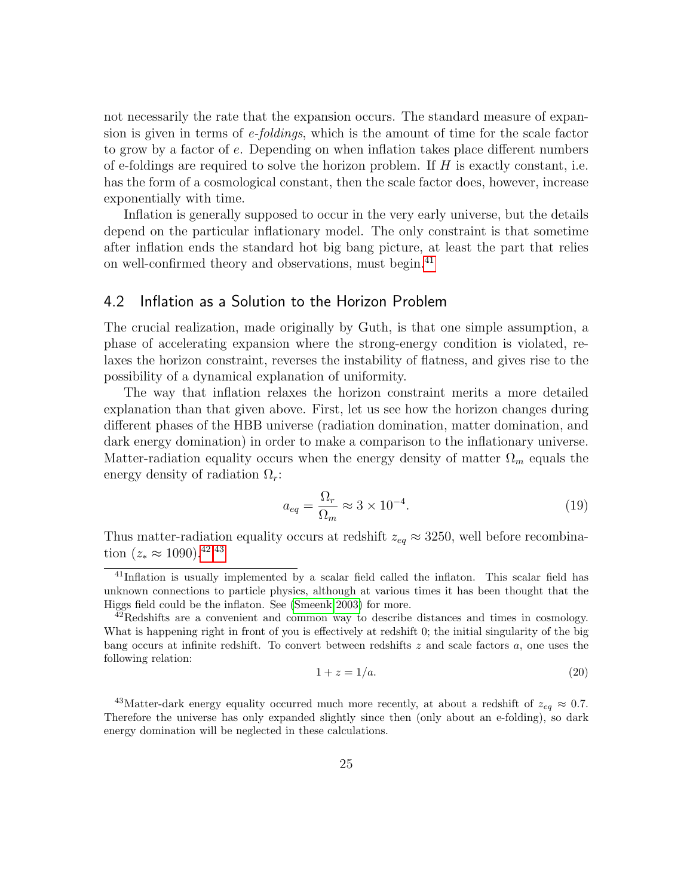not necessarily the rate that the expansion occurs. The standard measure of expansion is given in terms of e-foldings, which is the amount of time for the scale factor to grow by a factor of e. Depending on when inflation takes place different numbers of e-foldings are required to solve the horizon problem. If  $H$  is exactly constant, i.e. has the form of a cosmological constant, then the scale factor does, however, increase exponentially with time.

Inflation is generally supposed to occur in the very early universe, but the details depend on the particular inflationary model. The only constraint is that sometime after inflation ends the standard hot big bang picture, at least the part that relies on well-confirmed theory and observations, must begin.[41](#page-24-0)

#### 4.2 Inflation as a Solution to the Horizon Problem

The crucial realization, made originally by Guth, is that one simple assumption, a phase of accelerating expansion where the strong-energy condition is violated, relaxes the horizon constraint, reverses the instability of flatness, and gives rise to the possibility of a dynamical explanation of uniformity.

The way that inflation relaxes the horizon constraint merits a more detailed explanation than that given above. First, let us see how the horizon changes during different phases of the HBB universe (radiation domination, matter domination, and dark energy domination) in order to make a comparison to the inflationary universe. Matter-radiation equality occurs when the energy density of matter  $\Omega_m$  equals the energy density of radiation  $\Omega_r$ :

$$
a_{eq} = \frac{\Omega_r}{\Omega_m} \approx 3 \times 10^{-4}.\tag{19}
$$

Thus matter-radiation equality occurs at redshift  $z_{eq} \approx 3250$ , well before recombination  $(z_* \approx 1090)^{42,43}$  $(z_* \approx 1090)^{42,43}$  $(z_* \approx 1090)^{42,43}$  $(z_* \approx 1090)^{42,43}$ 

$$
1 + z = 1/a.
$$
\n<sup>(20)</sup>

<span id="page-24-0"></span><sup>&</sup>lt;sup>41</sup>Inflation is usually implemented by a scalar field called the inflaton. This scalar field has unknown connections to particle physics, although at various times it has been thought that the Higgs field could be the inflaton. See [\(Smeenk 2003\)](#page-39-1) for more.

<span id="page-24-1"></span> $^{42}$ Redshifts are a convenient and common way to describe distances and times in cosmology. What is happening right in front of you is effectively at redshift 0; the initial singularity of the big bang occurs at infinite redshift. To convert between redshifts z and scale factors a, one uses the following relation:

<span id="page-24-2"></span><sup>&</sup>lt;sup>43</sup>Matter-dark energy equality occurred much more recently, at about a redshift of  $z_{eq} \approx 0.7$ . Therefore the universe has only expanded slightly since then (only about an e-folding), so dark energy domination will be neglected in these calculations.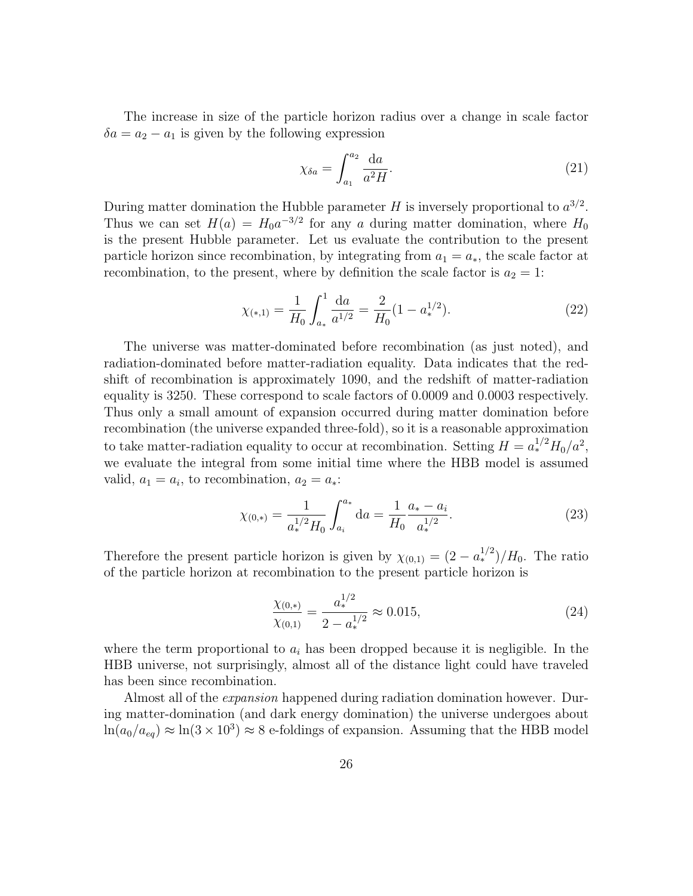The increase in size of the particle horizon radius over a change in scale factor  $\delta a = a_2 - a_1$  is given by the following expression

$$
\chi_{\delta a} = \int_{a_1}^{a_2} \frac{\mathrm{d}a}{a^2 H}.\tag{21}
$$

During matter domination the Hubble parameter H is inversely proportional to  $a^{3/2}$ . Thus we can set  $H(a) = H_0 a^{-3/2}$  for any a during matter domination, where  $H_0$ is the present Hubble parameter. Let us evaluate the contribution to the present particle horizon since recombination, by integrating from  $a_1 = a_*$ , the scale factor at recombination, to the present, where by definition the scale factor is  $a_2 = 1$ :

$$
\chi_{(*,1)} = \frac{1}{H_0} \int_{a_*}^1 \frac{\mathrm{d}a}{a^{1/2}} = \frac{2}{H_0} (1 - a_*^{1/2}).\tag{22}
$$

The universe was matter-dominated before recombination (as just noted), and radiation-dominated before matter-radiation equality. Data indicates that the redshift of recombination is approximately 1090, and the redshift of matter-radiation equality is 3250. These correspond to scale factors of 0.0009 and 0.0003 respectively. Thus only a small amount of expansion occurred during matter domination before recombination (the universe expanded three-fold), so it is a reasonable approximation to take matter-radiation equality to occur at recombination. Setting  $H = a_*^{1/2} H_0/a^2$ , we evaluate the integral from some initial time where the HBB model is assumed valid,  $a_1 = a_i$ , to recombination,  $a_2 = a_*$ :

$$
\chi_{(0,*)} = \frac{1}{a_*^{1/2} H_0} \int_{a_i}^{a_*} da = \frac{1}{H_0} \frac{a_* - a_i}{a_*^{1/2}}.
$$
\n(23)

Therefore the present particle horizon is given by  $\chi_{(0,1)} = (2 - a_*^{1/2})/H_0$ . The ratio of the particle horizon at recombination to the present particle horizon is

$$
\frac{\chi_{(0,*)}}{\chi_{(0,1)}} = \frac{a_*^{1/2}}{2 - a_*^{1/2}} \approx 0.015,\tag{24}
$$

where the term proportional to  $a_i$  has been dropped because it is negligible. In the HBB universe, not surprisingly, almost all of the distance light could have traveled has been since recombination.

Almost all of the expansion happened during radiation domination however. During matter-domination (and dark energy domination) the universe undergoes about  $ln(a_0/a_{eq}) \approx ln(3 \times 10^3) \approx 8$  e-foldings of expansion. Assuming that the HBB model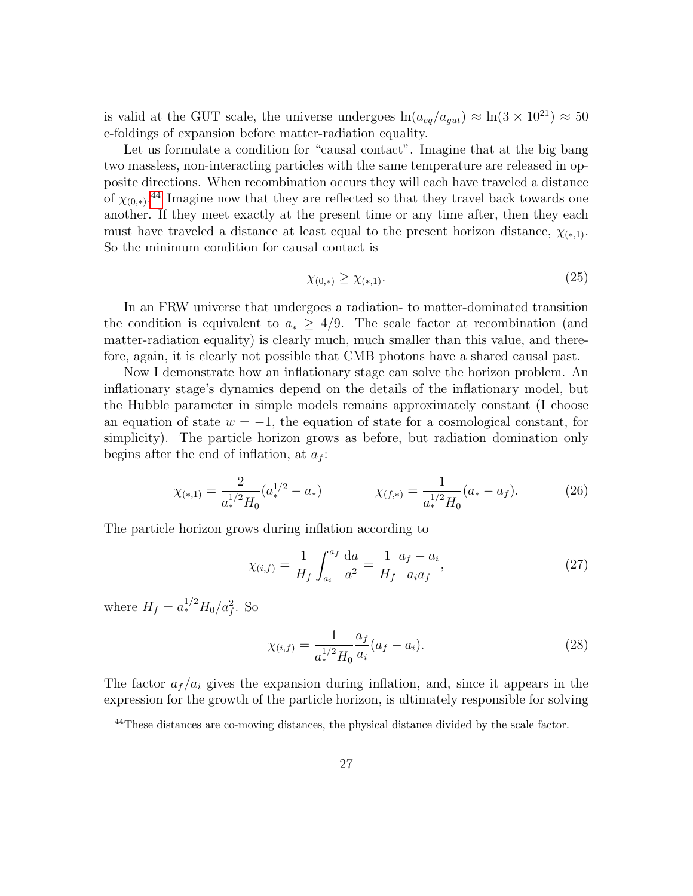is valid at the GUT scale, the universe undergoes  $ln(a_{eq}/a_{qut}) \approx ln(3 \times 10^{21}) \approx 50$ e-foldings of expansion before matter-radiation equality.

Let us formulate a condition for "causal contact". Imagine that at the big bang two massless, non-interacting particles with the same temperature are released in opposite directions. When recombination occurs they will each have traveled a distance of  $\chi_{(0,*)}$ .<sup>[44](#page-26-0)</sup> Imagine now that they are reflected so that they travel back towards one another. If they meet exactly at the present time or any time after, then they each must have traveled a distance at least equal to the present horizon distance,  $\chi_{(*,1)}$ . So the minimum condition for causal contact is

$$
\chi_{(0,*)} \ge \chi_{(*,1)}.\tag{25}
$$

In an FRW universe that undergoes a radiation- to matter-dominated transition the condition is equivalent to  $a_* > 4/9$ . The scale factor at recombination (and matter-radiation equality) is clearly much, much smaller than this value, and therefore, again, it is clearly not possible that CMB photons have a shared causal past.

Now I demonstrate how an inflationary stage can solve the horizon problem. An inflationary stage's dynamics depend on the details of the inflationary model, but the Hubble parameter in simple models remains approximately constant (I choose an equation of state  $w = -1$ , the equation of state for a cosmological constant, for simplicity). The particle horizon grows as before, but radiation domination only begins after the end of inflation, at  $a_f$ :

$$
\chi_{(*,1)} = \frac{2}{a_*^{1/2} H_0} (a_*^{1/2} - a_*) \qquad \chi_{(f,*)} = \frac{1}{a_*^{1/2} H_0} (a_* - a_f). \tag{26}
$$

The particle horizon grows during inflation according to

$$
\chi_{(i,f)} = \frac{1}{H_f} \int_{a_i}^{a_f} \frac{da}{a^2} = \frac{1}{H_f} \frac{a_f - a_i}{a_i a_f},\tag{27}
$$

where  $H_f = a_*^{1/2} H_0 / a_f^2$ . So

<span id="page-26-1"></span>
$$
\chi_{(i,f)} = \frac{1}{a_*^{1/2} H_0} \frac{a_f}{a_i} (a_f - a_i).
$$
\n(28)

The factor  $a_f/a_i$  gives the expansion during inflation, and, since it appears in the expression for the growth of the particle horizon, is ultimately responsible for solving

<span id="page-26-0"></span><sup>44</sup>These distances are co-moving distances, the physical distance divided by the scale factor.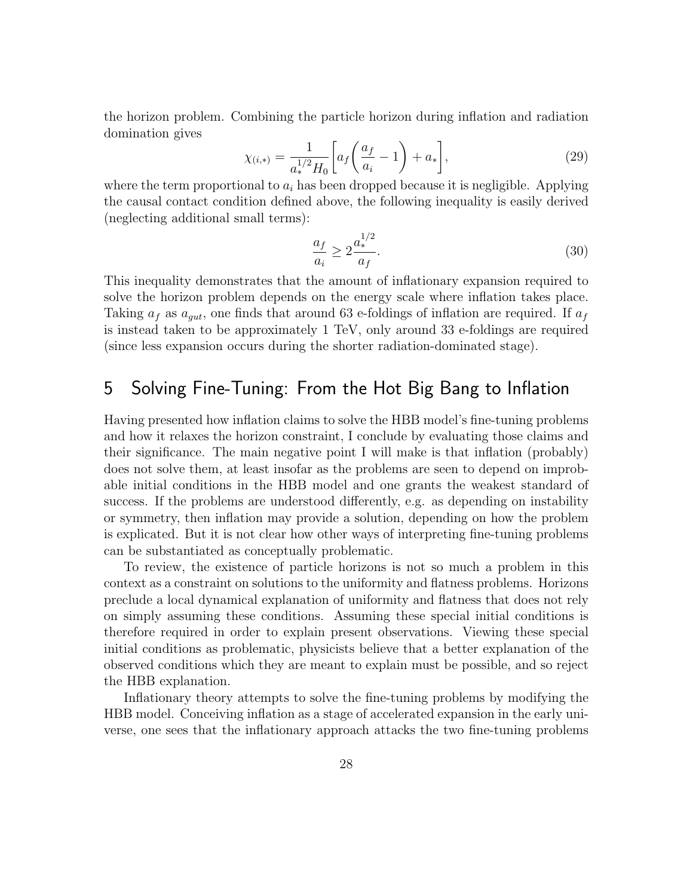the horizon problem. Combining the particle horizon during inflation and radiation domination gives

$$
\chi_{(i,*)} = \frac{1}{a_*^{1/2} H_0} \left[ a_f \left( \frac{a_f}{a_i} - 1 \right) + a_* \right],\tag{29}
$$

where the term proportional to  $a_i$  has been dropped because it is negligible. Applying the causal contact condition defined above, the following inequality is easily derived (neglecting additional small terms):

<span id="page-27-0"></span>
$$
\frac{a_f}{a_i} \ge 2 \frac{a_*^{1/2}}{a_f}.\tag{30}
$$

This inequality demonstrates that the amount of inflationary expansion required to solve the horizon problem depends on the energy scale where inflation takes place. Taking  $a_f$  as  $a_{qut}$ , one finds that around 63 e-foldings of inflation are required. If  $a_f$ is instead taken to be approximately 1 TeV, only around 33 e-foldings are required (since less expansion occurs during the shorter radiation-dominated stage).

### 5 Solving Fine-Tuning: From the Hot Big Bang to Inflation

Having presented how inflation claims to solve the HBB model's fine-tuning problems and how it relaxes the horizon constraint, I conclude by evaluating those claims and their significance. The main negative point I will make is that inflation (probably) does not solve them, at least insofar as the problems are seen to depend on improbable initial conditions in the HBB model and one grants the weakest standard of success. If the problems are understood differently, e.g. as depending on instability or symmetry, then inflation may provide a solution, depending on how the problem is explicated. But it is not clear how other ways of interpreting fine-tuning problems can be substantiated as conceptually problematic.

To review, the existence of particle horizons is not so much a problem in this context as a constraint on solutions to the uniformity and flatness problems. Horizons preclude a local dynamical explanation of uniformity and flatness that does not rely on simply assuming these conditions. Assuming these special initial conditions is therefore required in order to explain present observations. Viewing these special initial conditions as problematic, physicists believe that a better explanation of the observed conditions which they are meant to explain must be possible, and so reject the HBB explanation.

Inflationary theory attempts to solve the fine-tuning problems by modifying the HBB model. Conceiving inflation as a stage of accelerated expansion in the early universe, one sees that the inflationary approach attacks the two fine-tuning problems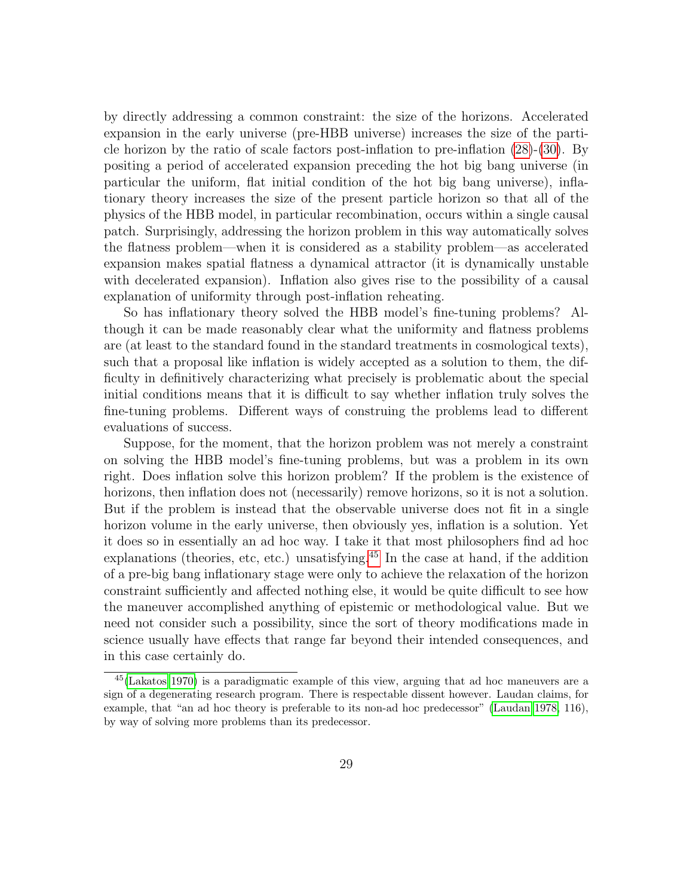by directly addressing a common constraint: the size of the horizons. Accelerated expansion in the early universe (pre-HBB universe) increases the size of the particle horizon by the ratio of scale factors post-inflation to pre-inflation [\(28\)](#page-26-1)-[\(30\)](#page-27-0). By positing a period of accelerated expansion preceding the hot big bang universe (in particular the uniform, flat initial condition of the hot big bang universe), inflationary theory increases the size of the present particle horizon so that all of the physics of the HBB model, in particular recombination, occurs within a single causal patch. Surprisingly, addressing the horizon problem in this way automatically solves the flatness problem—when it is considered as a stability problem—as accelerated expansion makes spatial flatness a dynamical attractor (it is dynamically unstable with decelerated expansion). Inflation also gives rise to the possibility of a causal explanation of uniformity through post-inflation reheating.

So has inflationary theory solved the HBB model's fine-tuning problems? Although it can be made reasonably clear what the uniformity and flatness problems are (at least to the standard found in the standard treatments in cosmological texts), such that a proposal like inflation is widely accepted as a solution to them, the difficulty in definitively characterizing what precisely is problematic about the special initial conditions means that it is difficult to say whether inflation truly solves the fine-tuning problems. Different ways of construing the problems lead to different evaluations of success.

Suppose, for the moment, that the horizon problem was not merely a constraint on solving the HBB model's fine-tuning problems, but was a problem in its own right. Does inflation solve this horizon problem? If the problem is the existence of horizons, then inflation does not (necessarily) remove horizons, so it is not a solution. But if the problem is instead that the observable universe does not fit in a single horizon volume in the early universe, then obviously yes, inflation is a solution. Yet it does so in essentially an ad hoc way. I take it that most philosophers find ad hoc explanations (theories, etc, etc.) unsatisfying.<sup>[45](#page-28-0)</sup> In the case at hand, if the addition of a pre-big bang inflationary stage were only to achieve the relaxation of the horizon constraint sufficiently and affected nothing else, it would be quite difficult to see how the maneuver accomplished anything of epistemic or methodological value. But we need not consider such a possibility, since the sort of theory modifications made in science usually have effects that range far beyond their intended consequences, and in this case certainly do.

<span id="page-28-0"></span><sup>45</sup>[\(Lakatos 1970\)](#page-37-9) is a paradigmatic example of this view, arguing that ad hoc maneuvers are a sign of a degenerating research program. There is respectable dissent however. Laudan claims, for example, that "an ad hoc theory is preferable to its non-ad hoc predecessor" [\(Laudan 1978,](#page-37-2) 116), by way of solving more problems than its predecessor.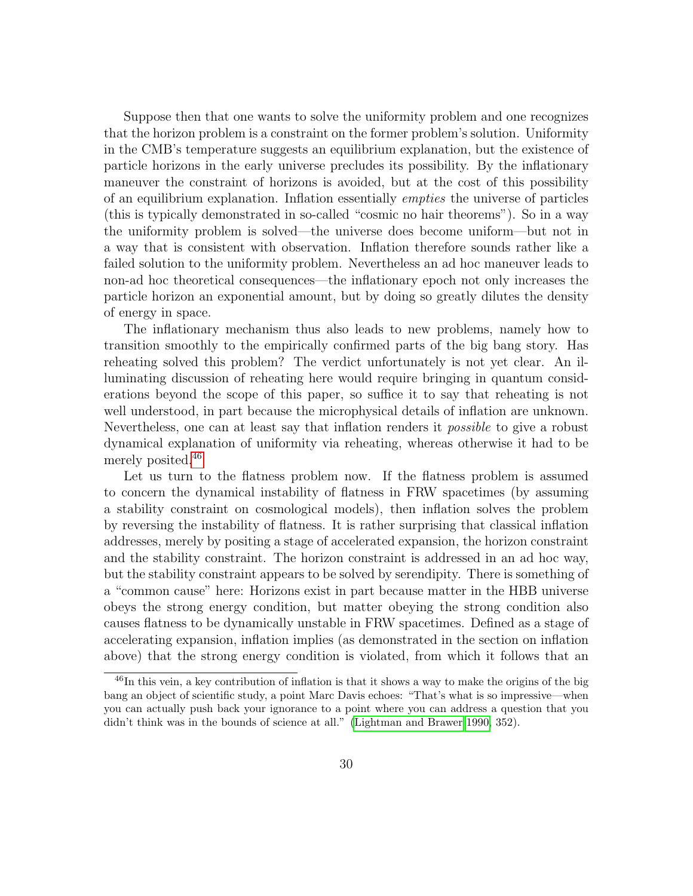Suppose then that one wants to solve the uniformity problem and one recognizes that the horizon problem is a constraint on the former problem's solution. Uniformity in the CMB's temperature suggests an equilibrium explanation, but the existence of particle horizons in the early universe precludes its possibility. By the inflationary maneuver the constraint of horizons is avoided, but at the cost of this possibility of an equilibrium explanation. Inflation essentially empties the universe of particles (this is typically demonstrated in so-called "cosmic no hair theorems"). So in a way the uniformity problem is solved—the universe does become uniform—but not in a way that is consistent with observation. Inflation therefore sounds rather like a failed solution to the uniformity problem. Nevertheless an ad hoc maneuver leads to non-ad hoc theoretical consequences—the inflationary epoch not only increases the particle horizon an exponential amount, but by doing so greatly dilutes the density of energy in space.

The inflationary mechanism thus also leads to new problems, namely how to transition smoothly to the empirically confirmed parts of the big bang story. Has reheating solved this problem? The verdict unfortunately is not yet clear. An illuminating discussion of reheating here would require bringing in quantum considerations beyond the scope of this paper, so suffice it to say that reheating is not well understood, in part because the microphysical details of inflation are unknown. Nevertheless, one can at least say that inflation renders it *possible* to give a robust dynamical explanation of uniformity via reheating, whereas otherwise it had to be merely posited.[46](#page-29-0)

Let us turn to the flatness problem now. If the flatness problem is assumed to concern the dynamical instability of flatness in FRW spacetimes (by assuming a stability constraint on cosmological models), then inflation solves the problem by reversing the instability of flatness. It is rather surprising that classical inflation addresses, merely by positing a stage of accelerated expansion, the horizon constraint and the stability constraint. The horizon constraint is addressed in an ad hoc way, but the stability constraint appears to be solved by serendipity. There is something of a "common cause" here: Horizons exist in part because matter in the HBB universe obeys the strong energy condition, but matter obeying the strong condition also causes flatness to be dynamically unstable in FRW spacetimes. Defined as a stage of accelerating expansion, inflation implies (as demonstrated in the section on inflation above) that the strong energy condition is violated, from which it follows that an

<span id="page-29-0"></span><sup>&</sup>lt;sup>46</sup>In this vein, a key contribution of inflation is that it shows a way to make the origins of the big bang an object of scientific study, a point Marc Davis echoes: "That's what is so impressive—when you can actually push back your ignorance to a point where you can address a question that you didn't think was in the bounds of science at all." [\(Lightman and Brawer 1990,](#page-37-8) 352).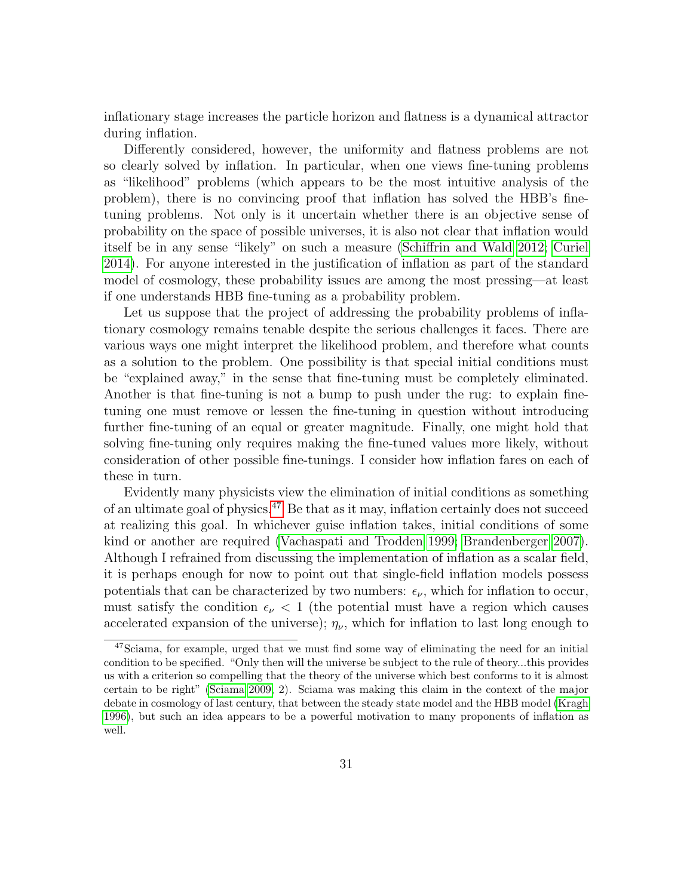inflationary stage increases the particle horizon and flatness is a dynamical attractor during inflation.

Differently considered, however, the uniformity and flatness problems are not so clearly solved by inflation. In particular, when one views fine-tuning problems as "likelihood" problems (which appears to be the most intuitive analysis of the problem), there is no convincing proof that inflation has solved the HBB's finetuning problems. Not only is it uncertain whether there is an objective sense of probability on the space of possible universes, it is also not clear that inflation would itself be in any sense "likely" on such a measure [\(Schiffrin and Wald 2012;](#page-39-10) [Curiel](#page-35-10) [2014\)](#page-35-10). For anyone interested in the justification of inflation as part of the standard model of cosmology, these probability issues are among the most pressing—at least if one understands HBB fine-tuning as a probability problem.

Let us suppose that the project of addressing the probability problems of inflationary cosmology remains tenable despite the serious challenges it faces. There are various ways one might interpret the likelihood problem, and therefore what counts as a solution to the problem. One possibility is that special initial conditions must be "explained away," in the sense that fine-tuning must be completely eliminated. Another is that fine-tuning is not a bump to push under the rug: to explain finetuning one must remove or lessen the fine-tuning in question without introducing further fine-tuning of an equal or greater magnitude. Finally, one might hold that solving fine-tuning only requires making the fine-tuned values more likely, without consideration of other possible fine-tunings. I consider how inflation fares on each of these in turn.

Evidently many physicists view the elimination of initial conditions as something of an ultimate goal of physics. $47$  Be that as it may, inflation certainly does not succeed at realizing this goal. In whichever guise inflation takes, initial conditions of some kind or another are required [\(Vachaspati and Trodden 1999;](#page-39-12) [Brandenberger 2007\)](#page-35-11). Although I refrained from discussing the implementation of inflation as a scalar field, it is perhaps enough for now to point out that single-field inflation models possess potentials that can be characterized by two numbers:  $\epsilon_{\nu}$ , which for inflation to occur, must satisfy the condition  $\epsilon_{\nu}$  < 1 (the potential must have a region which causes accelerated expansion of the universe);  $\eta_{\nu}$ , which for inflation to last long enough to

<span id="page-30-0"></span><sup>47</sup>Sciama, for example, urged that we must find some way of eliminating the need for an initial condition to be specified. "Only then will the universe be subject to the rule of theory...this provides us with a criterion so compelling that the theory of the universe which best conforms to it is almost certain to be right" [\(Sciama 2009,](#page-39-11) 2). Sciama was making this claim in the context of the major debate in cosmology of last century, that between the steady state model and the HBB model [\(Kragh](#page-37-13) [1996\)](#page-37-13), but such an idea appears to be a powerful motivation to many proponents of inflation as well.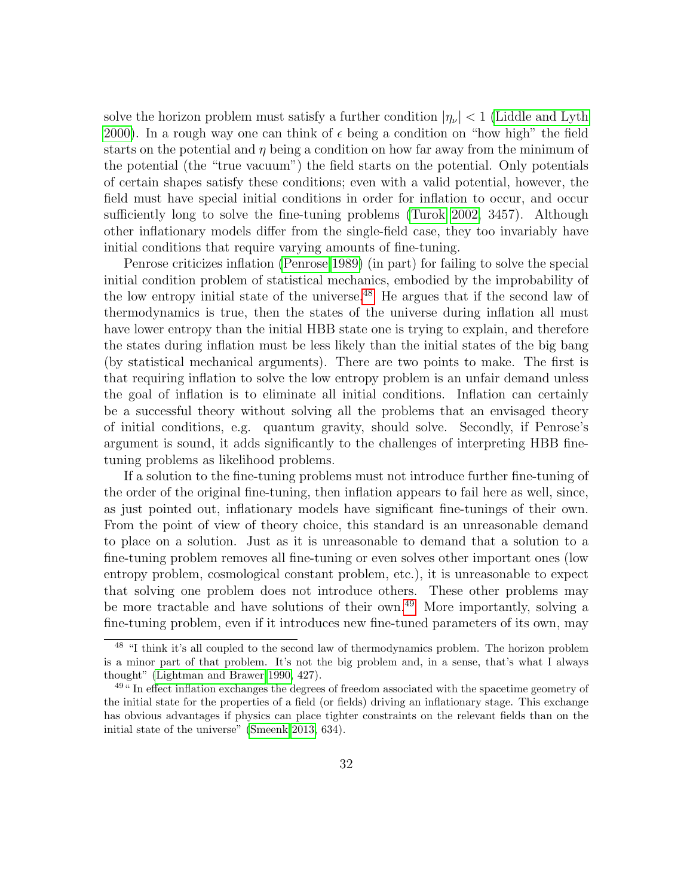solve the horizon problem must satisfy a further condition  $|\eta_{\nu}| < 1$  [\(Liddle and Lyth](#page-37-6) [2000\)](#page-37-6). In a rough way one can think of  $\epsilon$  being a condition on "how high" the field starts on the potential and  $\eta$  being a condition on how far away from the minimum of the potential (the "true vacuum") the field starts on the potential. Only potentials of certain shapes satisfy these conditions; even with a valid potential, however, the field must have special initial conditions in order for inflation to occur, and occur sufficiently long to solve the fine-tuning problems [\(Turok 2002,](#page-39-13) 3457). Although other inflationary models differ from the single-field case, they too invariably have initial conditions that require varying amounts of fine-tuning.

Penrose criticizes inflation [\(Penrose 1989\)](#page-38-3) (in part) for failing to solve the special initial condition problem of statistical mechanics, embodied by the improbability of the low entropy initial state of the universe.<sup>[48](#page-31-0)</sup> He argues that if the second law of thermodynamics is true, then the states of the universe during inflation all must have lower entropy than the initial HBB state one is trying to explain, and therefore the states during inflation must be less likely than the initial states of the big bang (by statistical mechanical arguments). There are two points to make. The first is that requiring inflation to solve the low entropy problem is an unfair demand unless the goal of inflation is to eliminate all initial conditions. Inflation can certainly be a successful theory without solving all the problems that an envisaged theory of initial conditions, e.g. quantum gravity, should solve. Secondly, if Penrose's argument is sound, it adds significantly to the challenges of interpreting HBB finetuning problems as likelihood problems.

If a solution to the fine-tuning problems must not introduce further fine-tuning of the order of the original fine-tuning, then inflation appears to fail here as well, since, as just pointed out, inflationary models have significant fine-tunings of their own. From the point of view of theory choice, this standard is an unreasonable demand to place on a solution. Just as it is unreasonable to demand that a solution to a fine-tuning problem removes all fine-tuning or even solves other important ones (low entropy problem, cosmological constant problem, etc.), it is unreasonable to expect that solving one problem does not introduce others. These other problems may be more tractable and have solutions of their own.<sup>[49](#page-31-1)</sup> More importantly, solving a fine-tuning problem, even if it introduces new fine-tuned parameters of its own, may

<span id="page-31-0"></span><sup>&</sup>lt;sup>48</sup> "I think it's all coupled to the second law of thermodynamics problem. The horizon problem is a minor part of that problem. It's not the big problem and, in a sense, that's what I always thought" [\(Lightman and Brawer 1990,](#page-37-8) 427).

<span id="page-31-1"></span><sup>&</sup>lt;sup>49</sup>" In effect inflation exchanges the degrees of freedom associated with the spacetime geometry of the initial state for the properties of a field (or fields) driving an inflationary stage. This exchange has obvious advantages if physics can place tighter constraints on the relevant fields than on the initial state of the universe" [\(Smeenk 2013,](#page-39-9) 634).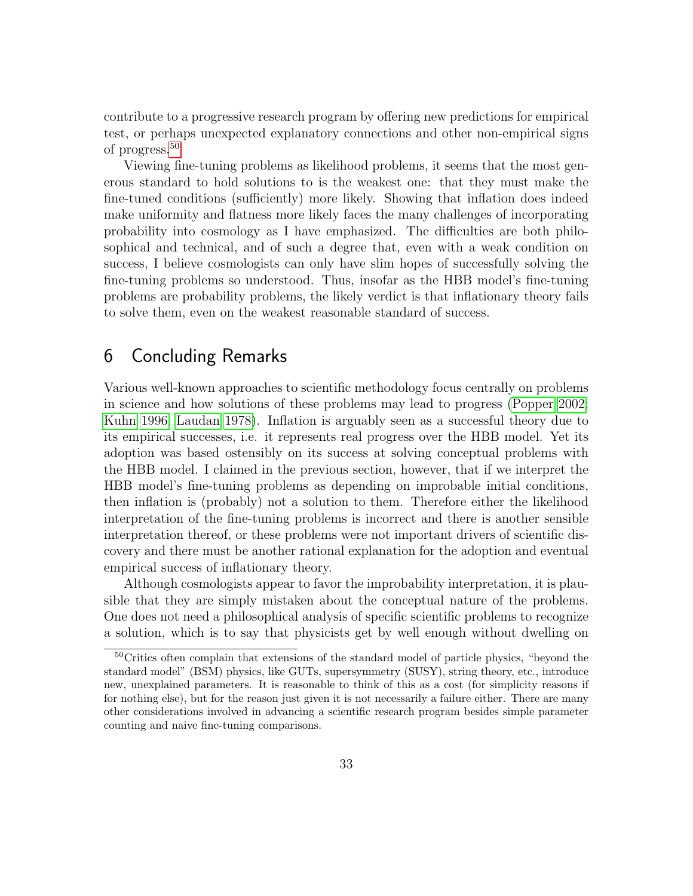contribute to a progressive research program by offering new predictions for empirical test, or perhaps unexpected explanatory connections and other non-empirical signs of progress.[50](#page-32-0)

Viewing fine-tuning problems as likelihood problems, it seems that the most generous standard to hold solutions to is the weakest one: that they must make the fine-tuned conditions (sufficiently) more likely. Showing that inflation does indeed make uniformity and flatness more likely faces the many challenges of incorporating probability into cosmology as I have emphasized. The difficulties are both philosophical and technical, and of such a degree that, even with a weak condition on success, I believe cosmologists can only have slim hopes of successfully solving the fine-tuning problems so understood. Thus, insofar as the HBB model's fine-tuning problems are probability problems, the likely verdict is that inflationary theory fails to solve them, even on the weakest reasonable standard of success.

### 6 Concluding Remarks

Various well-known approaches to scientific methodology focus centrally on problems in science and how solutions of these problems may lead to progress [\(Popper 2002;](#page-39-14) [Kuhn 1996;](#page-37-1) [Laudan 1978\)](#page-37-2). Inflation is arguably seen as a successful theory due to its empirical successes, i.e. it represents real progress over the HBB model. Yet its adoption was based ostensibly on its success at solving conceptual problems with the HBB model. I claimed in the previous section, however, that if we interpret the HBB model's fine-tuning problems as depending on improbable initial conditions, then inflation is (probably) not a solution to them. Therefore either the likelihood interpretation of the fine-tuning problems is incorrect and there is another sensible interpretation thereof, or these problems were not important drivers of scientific discovery and there must be another rational explanation for the adoption and eventual empirical success of inflationary theory.

Although cosmologists appear to favor the improbability interpretation, it is plausible that they are simply mistaken about the conceptual nature of the problems. One does not need a philosophical analysis of specific scientific problems to recognize a solution, which is to say that physicists get by well enough without dwelling on

<span id="page-32-0"></span><sup>50</sup>Critics often complain that extensions of the standard model of particle physics, "beyond the standard model" (BSM) physics, like GUTs, supersymmetry (SUSY), string theory, etc., introduce new, unexplained parameters. It is reasonable to think of this as a cost (for simplicity reasons if for nothing else), but for the reason just given it is not necessarily a failure either. There are many other considerations involved in advancing a scientific research program besides simple parameter counting and naive fine-tuning comparisons.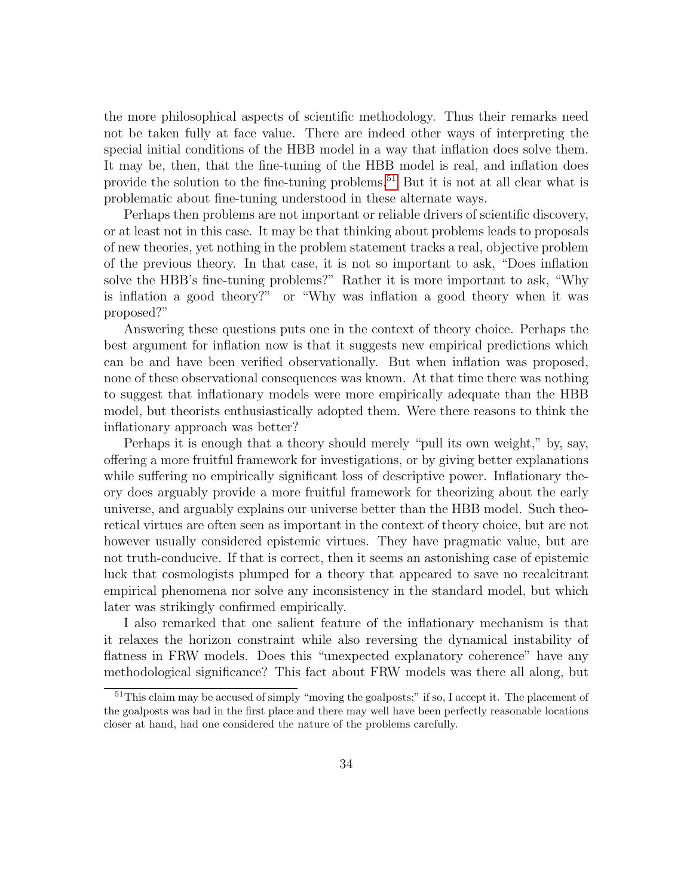the more philosophical aspects of scientific methodology. Thus their remarks need not be taken fully at face value. There are indeed other ways of interpreting the special initial conditions of the HBB model in a way that inflation does solve them. It may be, then, that the fine-tuning of the HBB model is real, and inflation does provide the solution to the fine-tuning problems.<sup>[51](#page-33-0)</sup> But it is not at all clear what is problematic about fine-tuning understood in these alternate ways.

Perhaps then problems are not important or reliable drivers of scientific discovery, or at least not in this case. It may be that thinking about problems leads to proposals of new theories, yet nothing in the problem statement tracks a real, objective problem of the previous theory. In that case, it is not so important to ask, "Does inflation solve the HBB's fine-tuning problems?" Rather it is more important to ask, "Why is inflation a good theory?" or "Why was inflation a good theory when it was proposed?"

Answering these questions puts one in the context of theory choice. Perhaps the best argument for inflation now is that it suggests new empirical predictions which can be and have been verified observationally. But when inflation was proposed, none of these observational consequences was known. At that time there was nothing to suggest that inflationary models were more empirically adequate than the HBB model, but theorists enthusiastically adopted them. Were there reasons to think the inflationary approach was better?

Perhaps it is enough that a theory should merely "pull its own weight," by, say, offering a more fruitful framework for investigations, or by giving better explanations while suffering no empirically significant loss of descriptive power. Inflationary theory does arguably provide a more fruitful framework for theorizing about the early universe, and arguably explains our universe better than the HBB model. Such theoretical virtues are often seen as important in the context of theory choice, but are not however usually considered epistemic virtues. They have pragmatic value, but are not truth-conducive. If that is correct, then it seems an astonishing case of epistemic luck that cosmologists plumped for a theory that appeared to save no recalcitrant empirical phenomena nor solve any inconsistency in the standard model, but which later was strikingly confirmed empirically.

I also remarked that one salient feature of the inflationary mechanism is that it relaxes the horizon constraint while also reversing the dynamical instability of flatness in FRW models. Does this "unexpected explanatory coherence" have any methodological significance? This fact about FRW models was there all along, but

<span id="page-33-0"></span><sup>&</sup>lt;sup>51</sup>This claim may be accused of simply "moving the goalposts;" if so, I accept it. The placement of the goalposts was bad in the first place and there may well have been perfectly reasonable locations closer at hand, had one considered the nature of the problems carefully.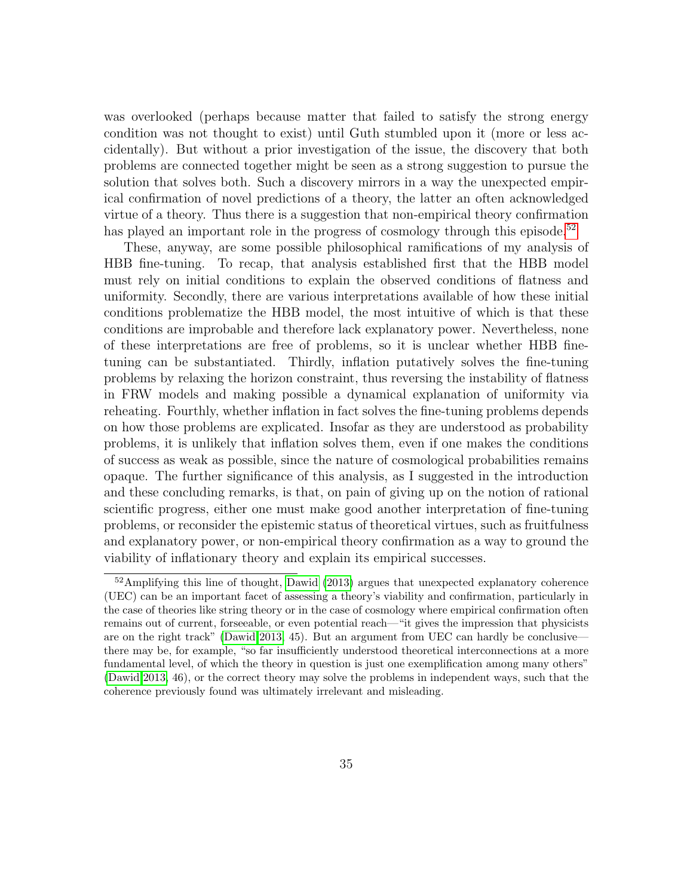was overlooked (perhaps because matter that failed to satisfy the strong energy condition was not thought to exist) until Guth stumbled upon it (more or less accidentally). But without a prior investigation of the issue, the discovery that both problems are connected together might be seen as a strong suggestion to pursue the solution that solves both. Such a discovery mirrors in a way the unexpected empirical confirmation of novel predictions of a theory, the latter an often acknowledged virtue of a theory. Thus there is a suggestion that non-empirical theory confirmation has played an important role in the progress of cosmology through this episode.<sup>[52](#page-34-0)</sup>

These, anyway, are some possible philosophical ramifications of my analysis of HBB fine-tuning. To recap, that analysis established first that the HBB model must rely on initial conditions to explain the observed conditions of flatness and uniformity. Secondly, there are various interpretations available of how these initial conditions problematize the HBB model, the most intuitive of which is that these conditions are improbable and therefore lack explanatory power. Nevertheless, none of these interpretations are free of problems, so it is unclear whether HBB finetuning can be substantiated. Thirdly, inflation putatively solves the fine-tuning problems by relaxing the horizon constraint, thus reversing the instability of flatness in FRW models and making possible a dynamical explanation of uniformity via reheating. Fourthly, whether inflation in fact solves the fine-tuning problems depends on how those problems are explicated. Insofar as they are understood as probability problems, it is unlikely that inflation solves them, even if one makes the conditions of success as weak as possible, since the nature of cosmological probabilities remains opaque. The further significance of this analysis, as I suggested in the introduction and these concluding remarks, is that, on pain of giving up on the notion of rational scientific progress, either one must make good another interpretation of fine-tuning problems, or reconsider the epistemic status of theoretical virtues, such as fruitfulness and explanatory power, or non-empirical theory confirmation as a way to ground the viability of inflationary theory and explain its empirical successes.

<span id="page-34-0"></span> $52$ Amplifying this line of thought, [Dawid](#page-35-12) [\(2013\)](#page-35-12) argues that unexpected explanatory coherence (UEC) can be an important facet of assessing a theory's viability and confirmation, particularly in the case of theories like string theory or in the case of cosmology where empirical confirmation often remains out of current, forseeable, or even potential reach—"it gives the impression that physicists are on the right track" [\(Dawid 2013,](#page-35-12) 45). But an argument from UEC can hardly be conclusive there may be, for example, "so far insufficiently understood theoretical interconnections at a more fundamental level, of which the theory in question is just one exemplification among many others" [\(Dawid 2013,](#page-35-12) 46), or the correct theory may solve the problems in independent ways, such that the coherence previously found was ultimately irrelevant and misleading.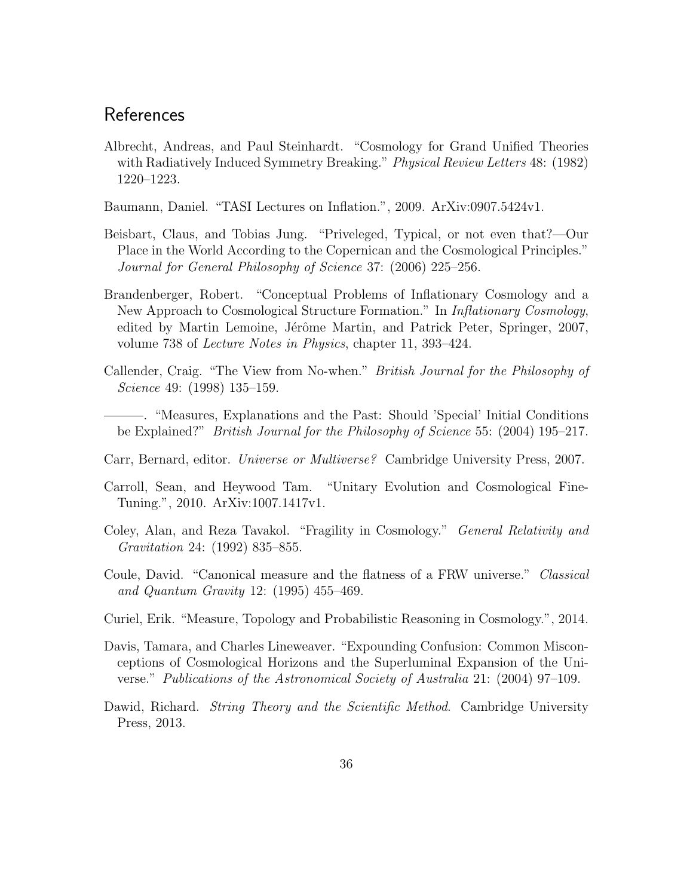### References

<span id="page-35-0"></span>Albrecht, Andreas, and Paul Steinhardt. "Cosmology for Grand Unified Theories with Radiatively Induced Symmetry Breaking." *Physical Review Letters* 48: (1982) 1220–1223.

<span id="page-35-3"></span>Baumann, Daniel. "TASI Lectures on Inflation.", 2009. ArXiv:0907.5424v1.

- <span id="page-35-1"></span>Beisbart, Claus, and Tobias Jung. "Priveleged, Typical, or not even that?—Our Place in the World According to the Copernican and the Cosmological Principles." Journal for General Philosophy of Science 37: (2006) 225–256.
- <span id="page-35-11"></span>Brandenberger, Robert. "Conceptual Problems of Inflationary Cosmology and a New Approach to Cosmological Structure Formation." In *Inflationary Cosmology*, edited by Martin Lemoine, Jérôme Martin, and Patrick Peter, Springer, 2007, volume 738 of Lecture Notes in Physics, chapter 11, 393–424.
- <span id="page-35-4"></span>Callender, Craig. "The View from No-when." British Journal for the Philosophy of Science 49: (1998) 135–159.

<span id="page-35-5"></span>. "Measures, Explanations and the Past: Should 'Special' Initial Conditions be Explained?" British Journal for the Philosophy of Science 55: (2004) 195–217.

- <span id="page-35-6"></span>Carr, Bernard, editor. Universe or Multiverse? Cambridge University Press, 2007.
- <span id="page-35-9"></span>Carroll, Sean, and Heywood Tam. "Unitary Evolution and Cosmological Fine-Tuning.", 2010. ArXiv:1007.1417v1.
- <span id="page-35-7"></span>Coley, Alan, and Reza Tavakol. "Fragility in Cosmology." General Relativity and Gravitation 24: (1992) 835–855.
- <span id="page-35-8"></span>Coule, David. "Canonical measure and the flatness of a FRW universe." Classical and Quantum Gravity 12: (1995) 455–469.
- <span id="page-35-10"></span>Curiel, Erik. "Measure, Topology and Probabilistic Reasoning in Cosmology.", 2014.
- <span id="page-35-2"></span>Davis, Tamara, and Charles Lineweaver. "Expounding Confusion: Common Misconceptions of Cosmological Horizons and the Superluminal Expansion of the Universe." Publications of the Astronomical Society of Australia 21: (2004) 97–109.
- <span id="page-35-12"></span>Dawid, Richard. *String Theory and the Scientific Method*. Cambridge University Press, 2013.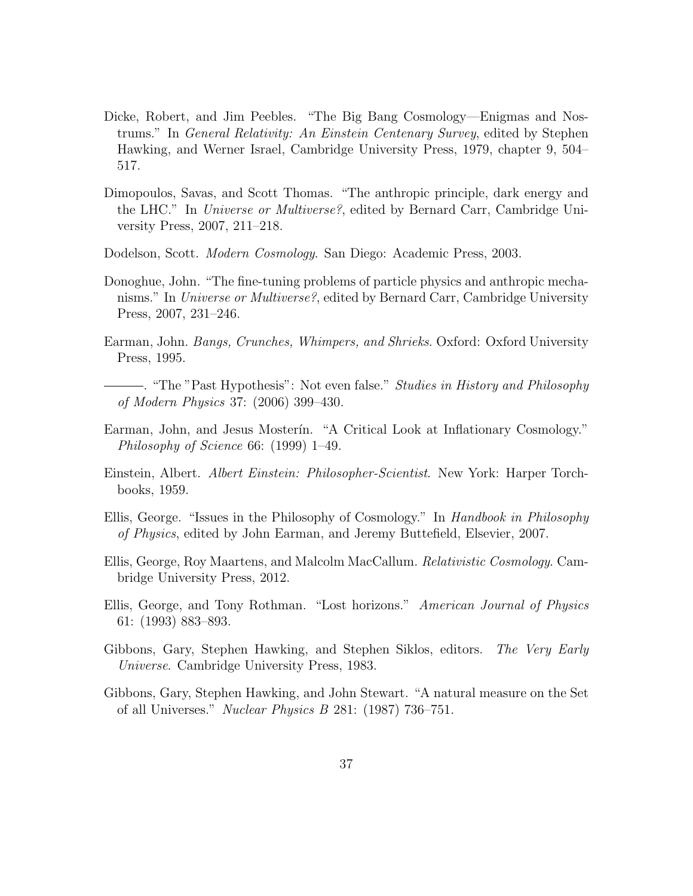- <span id="page-36-6"></span>Dicke, Robert, and Jim Peebles. "The Big Bang Cosmology—Enigmas and Nostrums." In General Relativity: An Einstein Centenary Survey, edited by Stephen Hawking, and Werner Israel, Cambridge University Press, 1979, chapter 9, 504– 517.
- <span id="page-36-9"></span>Dimopoulos, Savas, and Scott Thomas. "The anthropic principle, dark energy and the LHC." In Universe or Multiverse?, edited by Bernard Carr, Cambridge University Press, 2007, 211–218.
- <span id="page-36-3"></span>Dodelson, Scott. Modern Cosmology. San Diego: Academic Press, 2003.
- <span id="page-36-1"></span>Donoghue, John. "The fine-tuning problems of particle physics and anthropic mechanisms." In Universe or Multiverse?, edited by Bernard Carr, Cambridge University Press, 2007, 231–246.
- <span id="page-36-2"></span>Earman, John. Bangs, Crunches, Whimpers, and Shrieks. Oxford: Oxford University Press, 1995.
- <span id="page-36-8"></span>. "The "Past Hypothesis": Not even false." Studies in History and Philosophy of Modern Physics 37: (2006) 399–430.
- <span id="page-36-0"></span>Earman, John, and Jesus Mosterin. "A Critical Look at Inflationary Cosmology." Philosophy of Science 66: (1999) 1–49.
- <span id="page-36-12"></span>Einstein, Albert. Albert Einstein: Philosopher-Scientist. New York: Harper Torchbooks, 1959.
- <span id="page-36-11"></span>Ellis, George. "Issues in the Philosophy of Cosmology." In Handbook in Philosophy of Physics, edited by John Earman, and Jeremy Buttefield, Elsevier, 2007.
- <span id="page-36-4"></span>Ellis, George, Roy Maartens, and Malcolm MacCallum. Relativistic Cosmology. Cambridge University Press, 2012.
- <span id="page-36-5"></span>Ellis, George, and Tony Rothman. "Lost horizons." American Journal of Physics 61: (1993) 883–893.
- <span id="page-36-7"></span>Gibbons, Gary, Stephen Hawking, and Stephen Siklos, editors. The Very Early Universe. Cambridge University Press, 1983.
- <span id="page-36-10"></span>Gibbons, Gary, Stephen Hawking, and John Stewart. "A natural measure on the Set of all Universes." Nuclear Physics B 281: (1987) 736–751.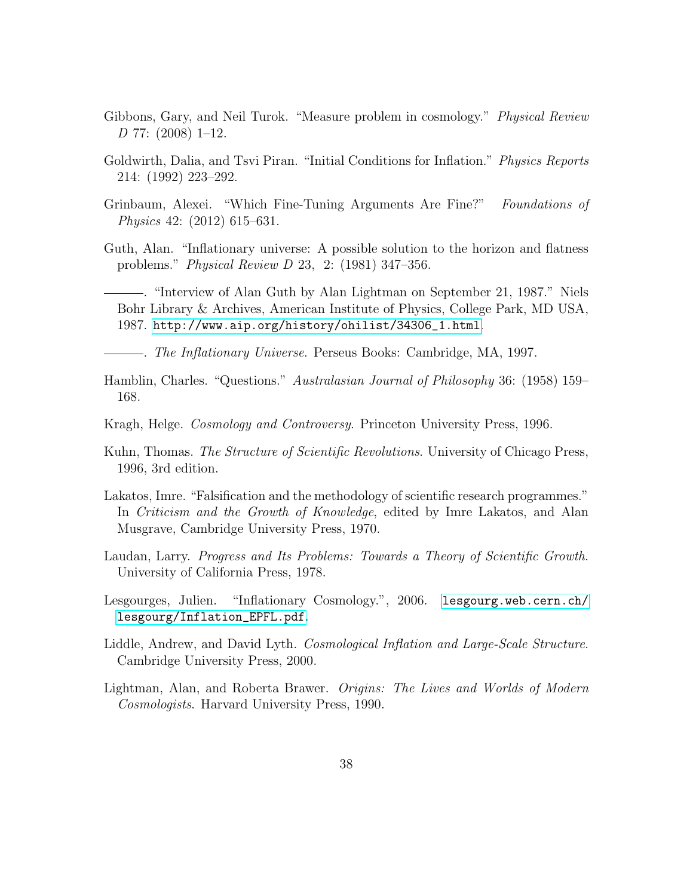- <span id="page-37-11"></span>Gibbons, Gary, and Neil Turok. "Measure problem in cosmology." *Physical Review*  $D$  77: (2008) 1–12.
- <span id="page-37-7"></span>Goldwirth, Dalia, and Tsvi Piran. "Initial Conditions for Inflation." Physics Reports 214: (1992) 223–292.
- <span id="page-37-4"></span>Grinbaum, Alexei. "Which Fine-Tuning Arguments Are Fine?" Foundations of Physics 42: (2012) 615–631.
- <span id="page-37-0"></span>Guth, Alan. "Inflationary universe: A possible solution to the horizon and flatness problems." Physical Review D 23, 2: (1981) 347–356.
- <span id="page-37-12"></span>. "Interview of Alan Guth by Alan Lightman on September 21, 1987." Niels Bohr Library & Archives, American Institute of Physics, College Park, MD USA, 1987. [http://www.aip.org/history/ohilist/34306\\_1.html](http://www.aip.org/history/ohilist/34306_1.html).

<span id="page-37-3"></span>. The Inflationary Universe. Perseus Books: Cambridge, MA, 1997.

- <span id="page-37-10"></span>Hamblin, Charles. "Questions." Australasian Journal of Philosophy 36: (1958) 159– 168.
- <span id="page-37-13"></span>Kragh, Helge. Cosmology and Controversy. Princeton University Press, 1996.
- <span id="page-37-1"></span>Kuhn, Thomas. The Structure of Scientific Revolutions. University of Chicago Press, 1996, 3rd edition.
- <span id="page-37-9"></span>Lakatos, Imre. "Falsification and the methodology of scientific research programmes." In Criticism and the Growth of Knowledge, edited by Imre Lakatos, and Alan Musgrave, Cambridge University Press, 1970.
- <span id="page-37-2"></span>Laudan, Larry. Progress and Its Problems: Towards a Theory of Scientific Growth. University of California Press, 1978.
- <span id="page-37-5"></span>Lesgourges, Julien. "Inflationary Cosmology.", 2006. [lesgourg.web.cern.ch/](lesgourg.web.cern.ch/lesgourg/Inflation_EPFL.pdf) [lesgourg/Inflation\\_EPFL.pdf](lesgourg.web.cern.ch/lesgourg/Inflation_EPFL.pdf).
- <span id="page-37-6"></span>Liddle, Andrew, and David Lyth. *Cosmological Inflation and Large-Scale Structure*. Cambridge University Press, 2000.
- <span id="page-37-8"></span>Lightman, Alan, and Roberta Brawer. Origins: The Lives and Worlds of Modern Cosmologists. Harvard University Press, 1990.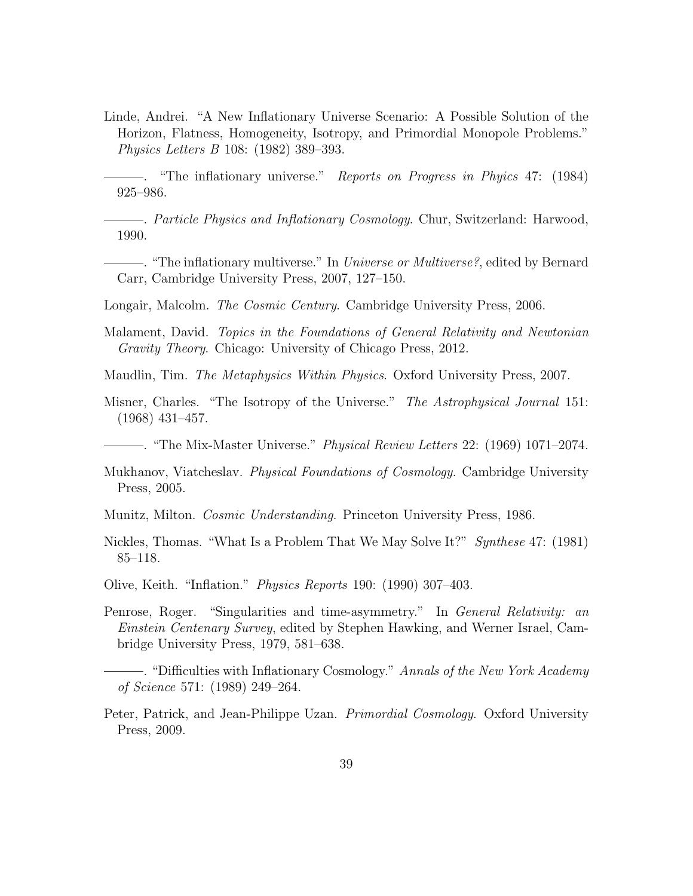<span id="page-38-0"></span>Linde, Andrei. "A New Inflationary Universe Scenario: A Possible Solution of the Horizon, Flatness, Homogeneity, Isotropy, and Primordial Monopole Problems." Physics Letters B 108: (1982) 389–393.

<span id="page-38-5"></span>. "The inflationary universe." Reports on Progress in Phyics 47: (1984) 925–986.

<span id="page-38-4"></span>. Particle Physics and Inflationary Cosmology. Chur, Switzerland: Harwood, 1990.

<span id="page-38-13"></span>. "The inflationary multiverse." In Universe or Multiverse?, edited by Bernard Carr, Cambridge University Press, 2007, 127–150.

<span id="page-38-1"></span>Longair, Malcolm. *The Cosmic Century.* Cambridge University Press, 2006.

- <span id="page-38-15"></span>Malament, David. Topics in the Foundations of General Relativity and Newtonian Gravity Theory. Chicago: University of Chicago Press, 2012.
- <span id="page-38-2"></span>Maudlin, Tim. The Metaphysics Within Physics. Oxford University Press, 2007.
- <span id="page-38-10"></span>Misner, Charles. "The Isotropy of the Universe." The Astrophysical Journal 151: (1968) 431–457.
- <span id="page-38-9"></span>. "The Mix-Master Universe." Physical Review Letters 22: (1969) 1071–2074.
- <span id="page-38-6"></span>Mukhanov, Viatcheslav. Physical Foundations of Cosmology. Cambridge University Press, 2005.
- <span id="page-38-11"></span>Munitz, Milton. Cosmic Understanding. Princeton University Press, 1986.
- <span id="page-38-12"></span>Nickles, Thomas. "What Is a Problem That We May Solve It?" Synthese 47: (1981) 85–118.
- <span id="page-38-8"></span>Olive, Keith. "Inflation." Physics Reports 190: (1990) 307–403.
- <span id="page-38-14"></span>Penrose, Roger. "Singularities and time-asymmetry." In *General Relativity: an* Einstein Centenary Survey, edited by Stephen Hawking, and Werner Israel, Cambridge University Press, 1979, 581–638.
	- . "Difficulties with Inflationary Cosmology." Annals of the New York Academy of Science 571: (1989) 249–264.
- <span id="page-38-7"></span><span id="page-38-3"></span>Peter, Patrick, and Jean-Philippe Uzan. *Primordial Cosmology*. Oxford University Press, 2009.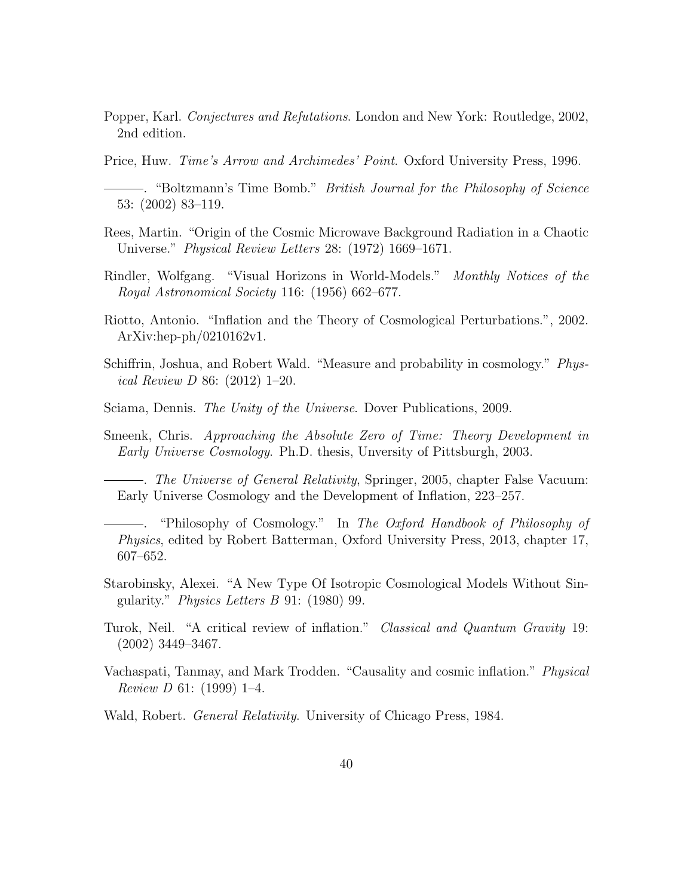<span id="page-39-14"></span>Popper, Karl. Conjectures and Refutations. London and New York: Routledge, 2002, 2nd edition.

<span id="page-39-8"></span>Price, Huw. Time's Arrow and Archimedes' Point. Oxford University Press, 1996.

- <span id="page-39-7"></span>. "Boltzmann's Time Bomb." British Journal for the Philosophy of Science 53: (2002) 83–119.
- <span id="page-39-4"></span>Rees, Martin. "Origin of the Cosmic Microwave Background Radiation in a Chaotic Universe." *Physical Review Letters* 28: (1972) 1669–1671.
- <span id="page-39-2"></span>Rindler, Wolfgang. "Visual Horizons in World-Models." Monthly Notices of the Royal Astronomical Society 116: (1956) 662–677.
- <span id="page-39-6"></span>Riotto, Antonio. "Inflation and the Theory of Cosmological Perturbations.", 2002. ArXiv:hep-ph/0210162v1.
- <span id="page-39-10"></span>Schiffrin, Joshua, and Robert Wald. "Measure and probability in cosmology." Physical Review D 86: (2012) 1–20.
- <span id="page-39-11"></span>Sciama, Dennis. The Unity of the Universe. Dover Publications, 2009.
- <span id="page-39-1"></span>Smeenk, Chris. Approaching the Absolute Zero of Time: Theory Development in Early Universe Cosmology. Ph.D. thesis, Unversity of Pittsburgh, 2003.

<span id="page-39-0"></span>. The Universe of General Relativity, Springer, 2005, chapter False Vacuum: Early Universe Cosmology and the Development of Inflation, 223–257.

<span id="page-39-9"></span>. "Philosophy of Cosmology." In The Oxford Handbook of Philosophy of Physics, edited by Robert Batterman, Oxford University Press, 2013, chapter 17, 607–652.

- <span id="page-39-3"></span>Starobinsky, Alexei. "A New Type Of Isotropic Cosmological Models Without Singularity." Physics Letters B 91: (1980) 99.
- <span id="page-39-13"></span>Turok, Neil. "A critical review of inflation." Classical and Quantum Gravity 19: (2002) 3449–3467.
- <span id="page-39-12"></span>Vachaspati, Tanmay, and Mark Trodden. "Causality and cosmic inflation." Physical Review D 61: (1999) 1–4.

<span id="page-39-5"></span>Wald, Robert. General Relativity. University of Chicago Press, 1984.